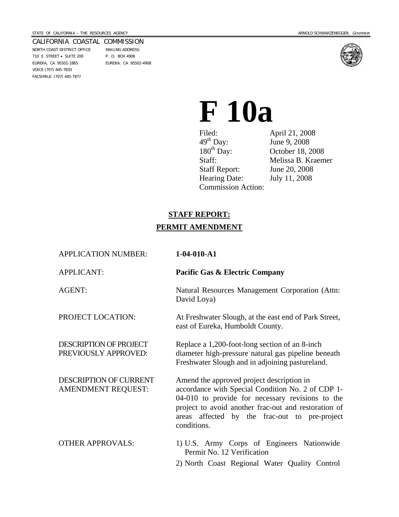```
CALIFORNIA COASTAL COMMISSION 
NORTH COAST DISTRICT OFFICE MAILING ADDRESS: 
710 E STREET • SUITE 200 P. O. BOX 4908 
EUREKA, CA 95501-1865 EUREKA, CA 95502-4908 
VOICE (707) 445-7833
```
FACSIMILE (707) 445-7877



# **F 10a**

Filed: April 21, 2008  $49^{th}$  Day: June 9, 2008<br>180<sup>th</sup> Day: October 18, 2 180<sup>th</sup> Day: Corober 18, 2008<br>Staff: Melissa B. Kraen Staff Report: June 20, 2008 Hearing Date: July 11, 2008 Commission Action:

Melissa B. Kraemer

# **STAFF REPORT: PERMIT AMENDMENT**

| <b>APPLICATION NUMBER:</b>                                 | $1-04-010- A1$                                                                                                                                                                                                                                                             |
|------------------------------------------------------------|----------------------------------------------------------------------------------------------------------------------------------------------------------------------------------------------------------------------------------------------------------------------------|
| <b>APPLICANT:</b>                                          | <b>Pacific Gas &amp; Electric Company</b>                                                                                                                                                                                                                                  |
| <b>AGENT:</b>                                              | Natural Resources Management Corporation (Attn:<br>David Loya)                                                                                                                                                                                                             |
| PROJECT LOCATION:                                          | At Freshwater Slough, at the east end of Park Street,<br>east of Eureka, Humboldt County.                                                                                                                                                                                  |
| DESCRIPTION OF PROJECT<br>PREVIOUSLY APPROVED:             | Replace a 1,200-foot-long section of an 8-inch<br>diameter high-pressure natural gas pipeline beneath<br>Freshwater Slough and in adjoining pastureland.                                                                                                                   |
| <b>DESCRIPTION OF CURRENT</b><br><b>AMENDMENT REQUEST:</b> | Amend the approved project description in<br>accordance with Special Condition No. 2 of CDP 1-<br>04-010 to provide for necessary revisions to the<br>project to avoid another frac-out and restoration of<br>areas affected by the frac-out to pre-project<br>conditions. |
| <b>OTHER APPROVALS:</b>                                    | 1) U.S. Army Corps of Engineers Nationwide<br>Permit No. 12 Verification                                                                                                                                                                                                   |
|                                                            | 2) North Coast Regional Water Quality Control                                                                                                                                                                                                                              |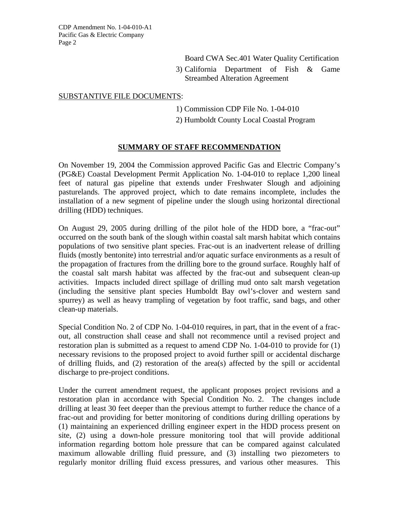Board CWA Sec.401 Water Quality Certification

3) California Department of Fish & Game Streambed Alteration Agreement

#### SUBSTANTIVE FILE DOCUMENTS:

- 1) Commission CDP File No. 1-04-010
- 2) Humboldt County Local Coastal Program

## **SUMMARY OF STAFF RECOMMENDATION**

On November 19, 2004 the Commission approved Pacific Gas and Electric Company's (PG&E) Coastal Development Permit Application No. 1-04-010 to replace 1,200 lineal feet of natural gas pipeline that extends under Freshwater Slough and adjoining pasturelands. The approved project, which to date remains incomplete, includes the installation of a new segment of pipeline under the slough using horizontal directional drilling (HDD) techniques.

On August 29, 2005 during drilling of the pilot hole of the HDD bore, a "frac-out" occurred on the south bank of the slough within coastal salt marsh habitat which contains populations of two sensitive plant species. Frac-out is an inadvertent release of drilling fluids (mostly bentonite) into terrestrial and/or aquatic surface environments as a result of the propagation of fractures from the drilling bore to the ground surface. Roughly half of the coastal salt marsh habitat was affected by the frac-out and subsequent clean-up activities. Impacts included direct spillage of drilling mud onto salt marsh vegetation (including the sensitive plant species Humboldt Bay owl's-clover and western sand spurrey) as well as heavy trampling of vegetation by foot traffic, sand bags, and other clean-up materials.

Special Condition No. 2 of CDP No. 1-04-010 requires, in part, that in the event of a fracout, all construction shall cease and shall not recommence until a revised project and restoration plan is submitted as a request to amend CDP No. 1-04-010 to provide for (1) necessary revisions to the proposed project to avoid further spill or accidental discharge of drilling fluids, and (2) restoration of the area(s) affected by the spill or accidental discharge to pre-project conditions.

Under the current amendment request, the applicant proposes project revisions and a restoration plan in accordance with Special Condition No. 2. The changes include drilling at least 30 feet deeper than the previous attempt to further reduce the chance of a frac-out and providing for better monitoring of conditions during drilling operations by (1) maintaining an experienced drilling engineer expert in the HDD process present on site, (2) using a down-hole pressure monitoring tool that will provide additional information regarding bottom hole pressure that can be compared against calculated maximum allowable drilling fluid pressure, and (3) installing two piezometers to regularly monitor drilling fluid excess pressures, and various other measures. This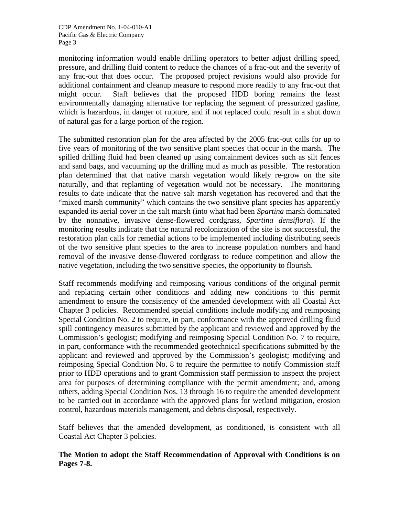monitoring information would enable drilling operators to better adjust drilling speed, pressure, and drilling fluid content to reduce the chances of a frac-out and the severity of any frac-out that does occur. The proposed project revisions would also provide for additional containment and cleanup measure to respond more readily to any frac-out that might occur. Staff believes that the proposed HDD boring remains the least environmentally damaging alternative for replacing the segment of pressurized gasline, which is hazardous, in danger of rupture, and if not replaced could result in a shut down of natural gas for a large portion of the region.

The submitted restoration plan for the area affected by the 2005 frac-out calls for up to five years of monitoring of the two sensitive plant species that occur in the marsh. The spilled drilling fluid had been cleaned up using containment devices such as silt fences and sand bags, and vacuuming up the drilling mud as much as possible. The restoration plan determined that that native marsh vegetation would likely re-grow on the site naturally, and that replanting of vegetation would not be necessary. The monitoring results to date indicate that the native salt marsh vegetation has recovered and that the "mixed marsh community" which contains the two sensitive plant species has apparently expanded its aerial cover in the salt marsh (into what had been *Spartina* marsh dominated by the nonnative, invasive dense-flowered cordgrass, *Spartina densiflora*). If the monitoring results indicate that the natural recolonization of the site is not successful, the restoration plan calls for remedial actions to be implemented including distributing seeds of the two sensitive plant species to the area to increase population numbers and hand removal of the invasive dense-flowered cordgrass to reduce competition and allow the native vegetation, including the two sensitive species, the opportunity to flourish.

Staff recommends modifying and reimposing various conditions of the original permit and replacing certain other conditions and adding new conditions to this permit amendment to ensure the consistency of the amended development with all Coastal Act Chapter 3 policies. Recommended special conditions include modifying and reimposing Special Condition No. 2 to require, in part, conformance with the approved drilling fluid spill contingency measures submitted by the applicant and reviewed and approved by the Commission's geologist; modifying and reimposing Special Condition No. 7 to require, in part, conformance with the recommended geotechnical specifications submitted by the applicant and reviewed and approved by the Commission's geologist; modifying and reimposing Special Condition No. 8 to require the permittee to notify Commission staff prior to HDD operations and to grant Commission staff permission to inspect the project area for purposes of determining compliance with the permit amendment; and, among others, adding Special Condition Nos. 13 through 16 to require the amended development to be carried out in accordance with the approved plans for wetland mitigation, erosion control, hazardous materials management, and debris disposal, respectively.

Staff believes that the amended development, as conditioned, is consistent with all Coastal Act Chapter 3 policies.

## **The Motion to adopt the Staff Recommendation of Approval with Conditions is on Pages 7-8.**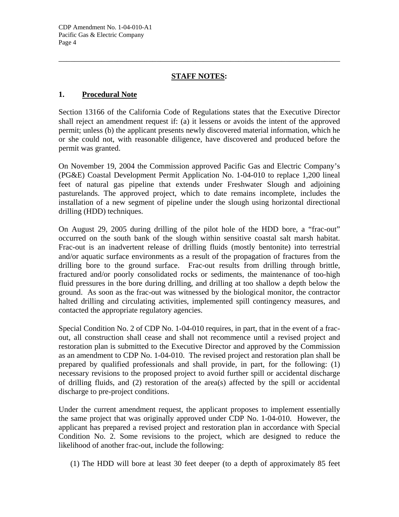# **STAFF NOTES:**

\_\_\_\_\_\_\_\_\_\_\_\_\_\_\_\_\_\_\_\_\_\_\_\_\_\_\_\_\_\_\_\_\_\_\_\_\_\_\_\_\_\_\_\_\_\_\_\_\_\_\_\_\_\_\_\_\_\_\_\_\_\_\_\_\_\_\_\_\_\_\_\_

## **1. Procedural Note**

Section 13166 of the California Code of Regulations states that the Executive Director shall reject an amendment request if: (a) it lessens or avoids the intent of the approved permit; unless (b) the applicant presents newly discovered material information, which he or she could not, with reasonable diligence, have discovered and produced before the permit was granted.

On November 19, 2004 the Commission approved Pacific Gas and Electric Company's (PG&E) Coastal Development Permit Application No. 1-04-010 to replace 1,200 lineal feet of natural gas pipeline that extends under Freshwater Slough and adjoining pasturelands. The approved project, which to date remains incomplete, includes the installation of a new segment of pipeline under the slough using horizontal directional drilling (HDD) techniques.

On August 29, 2005 during drilling of the pilot hole of the HDD bore, a "frac-out" occurred on the south bank of the slough within sensitive coastal salt marsh habitat. Frac-out is an inadvertent release of drilling fluids (mostly bentonite) into terrestrial and/or aquatic surface environments as a result of the propagation of fractures from the drilling bore to the ground surface. Frac-out results from drilling through brittle, fractured and/or poorly consolidated rocks or sediments, the maintenance of too-high fluid pressures in the bore during drilling, and drilling at too shallow a depth below the ground. As soon as the frac-out was witnessed by the biological monitor, the contractor halted drilling and circulating activities, implemented spill contingency measures, and contacted the appropriate regulatory agencies.

Special Condition No. 2 of CDP No. 1-04-010 requires, in part, that in the event of a fracout, all construction shall cease and shall not recommence until a revised project and restoration plan is submitted to the Executive Director and approved by the Commission as an amendment to CDP No. 1-04-010. The revised project and restoration plan shall be prepared by qualified professionals and shall provide, in part, for the following: (1) necessary revisions to the proposed project to avoid further spill or accidental discharge of drilling fluids, and (2) restoration of the area(s) affected by the spill or accidental discharge to pre-project conditions.

Under the current amendment request, the applicant proposes to implement essentially the same project that was originally approved under CDP No. 1-04-010. However, the applicant has prepared a revised project and restoration plan in accordance with Special Condition No. 2. Some revisions to the project, which are designed to reduce the likelihood of another frac-out, include the following:

(1) The HDD will bore at least 30 feet deeper (to a depth of approximately 85 feet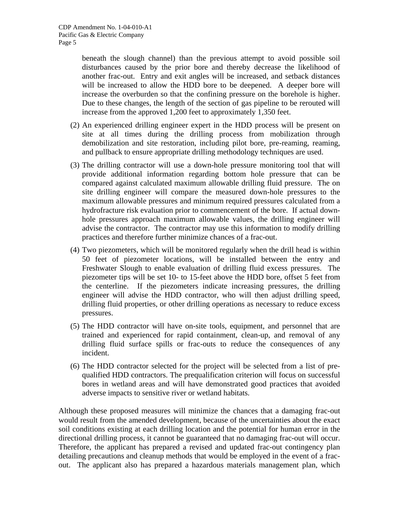beneath the slough channel) than the previous attempt to avoid possible soil disturbances caused by the prior bore and thereby decrease the likelihood of another frac-out. Entry and exit angles will be increased, and setback distances will be increased to allow the HDD bore to be deepened. A deeper bore will increase the overburden so that the confining pressure on the borehole is higher. Due to these changes, the length of the section of gas pipeline to be rerouted will increase from the approved 1,200 feet to approximately 1,350 feet.

- (2) An experienced drilling engineer expert in the HDD process will be present on site at all times during the drilling process from mobilization through demobilization and site restoration, including pilot bore, pre-reaming, reaming, and pullback to ensure appropriate drilling methodology techniques are used.
- (3) The drilling contractor will use a down-hole pressure monitoring tool that will provide additional information regarding bottom hole pressure that can be compared against calculated maximum allowable drilling fluid pressure. The on site drilling engineer will compare the measured down-hole pressures to the maximum allowable pressures and minimum required pressures calculated from a hydrofracture risk evaluation prior to commencement of the bore. If actual downhole pressures approach maximum allowable values, the drilling engineer will advise the contractor. The contractor may use this information to modify drilling practices and therefore further minimize chances of a frac-out.
- (4) Two piezometers, which will be monitored regularly when the drill head is within 50 feet of piezometer locations, will be installed between the entry and Freshwater Slough to enable evaluation of drilling fluid excess pressures. The piezometer tips will be set 10- to 15-feet above the HDD bore, offset 5 feet from the centerline. If the piezometers indicate increasing pressures, the drilling engineer will advise the HDD contractor, who will then adjust drilling speed, drilling fluid properties, or other drilling operations as necessary to reduce excess pressures.
- (5) The HDD contractor will have on-site tools, equipment, and personnel that are trained and experienced for rapid containment, clean-up, and removal of any drilling fluid surface spills or frac-outs to reduce the consequences of any incident.
- (6) The HDD contractor selected for the project will be selected from a list of prequalified HDD contractors. The prequalification criterion will focus on successful bores in wetland areas and will have demonstrated good practices that avoided adverse impacts to sensitive river or wetland habitats.

Although these proposed measures will minimize the chances that a damaging frac-out would result from the amended development, because of the uncertainties about the exact soil conditions existing at each drilling location and the potential for human error in the directional drilling process, it cannot be guaranteed that no damaging frac-out will occur. Therefore, the applicant has prepared a revised and updated frac-out contingency plan detailing precautions and cleanup methods that would be employed in the event of a fracout. The applicant also has prepared a hazardous materials management plan, which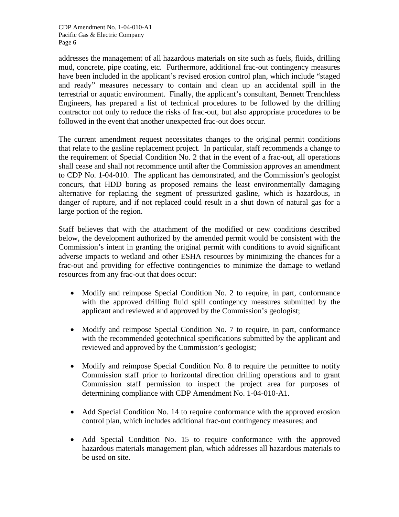addresses the management of all hazardous materials on site such as fuels, fluids, drilling mud, concrete, pipe coating, etc. Furthermore, additional frac-out contingency measures have been included in the applicant's revised erosion control plan, which include "staged and ready" measures necessary to contain and clean up an accidental spill in the terrestrial or aquatic environment. Finally, the applicant's consultant, Bennett Trenchless Engineers, has prepared a list of technical procedures to be followed by the drilling contractor not only to reduce the risks of frac-out, but also appropriate procedures to be followed in the event that another unexpected frac-out does occur.

The current amendment request necessitates changes to the original permit conditions that relate to the gasline replacement project. In particular, staff recommends a change to the requirement of Special Condition No. 2 that in the event of a frac-out, all operations shall cease and shall not recommence until after the Commission approves an amendment to CDP No. 1-04-010. The applicant has demonstrated, and the Commission's geologist concurs, that HDD boring as proposed remains the least environmentally damaging alternative for replacing the segment of pressurized gasline, which is hazardous, in danger of rupture, and if not replaced could result in a shut down of natural gas for a large portion of the region.

Staff believes that with the attachment of the modified or new conditions described below, the development authorized by the amended permit would be consistent with the Commission's intent in granting the original permit with conditions to avoid significant adverse impacts to wetland and other ESHA resources by minimizing the chances for a frac-out and providing for effective contingencies to minimize the damage to wetland resources from any frac-out that does occur:

- Modify and reimpose Special Condition No. 2 to require, in part, conformance with the approved drilling fluid spill contingency measures submitted by the applicant and reviewed and approved by the Commission's geologist;
- Modify and reimpose Special Condition No. 7 to require, in part, conformance with the recommended geotechnical specifications submitted by the applicant and reviewed and approved by the Commission's geologist;
- Modify and reimpose Special Condition No. 8 to require the permittee to notify Commission staff prior to horizontal direction drilling operations and to grant Commission staff permission to inspect the project area for purposes of determining compliance with CDP Amendment No. 1-04-010-A1.
- Add Special Condition No. 14 to require conformance with the approved erosion control plan, which includes additional frac-out contingency measures; and
- Add Special Condition No. 15 to require conformance with the approved hazardous materials management plan, which addresses all hazardous materials to be used on site.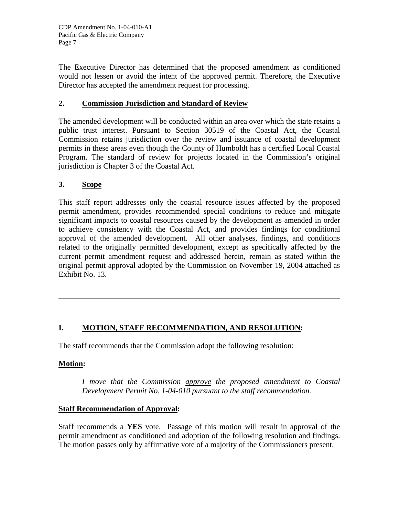The Executive Director has determined that the proposed amendment as conditioned would not lessen or avoid the intent of the approved permit. Therefore, the Executive Director has accepted the amendment request for processing.

# **2. Commission Jurisdiction and Standard of Review**

The amended development will be conducted within an area over which the state retains a public trust interest. Pursuant to Section 30519 of the Coastal Act, the Coastal Commission retains jurisdiction over the review and issuance of coastal development permits in these areas even though the County of Humboldt has a certified Local Coastal Program. The standard of review for projects located in the Commission's original jurisdiction is Chapter 3 of the Coastal Act.

# **3. Scope**

This staff report addresses only the coastal resource issues affected by the proposed permit amendment, provides recommended special conditions to reduce and mitigate significant impacts to coastal resources caused by the development as amended in order to achieve consistency with the Coastal Act, and provides findings for conditional approval of the amended development. All other analyses, findings, and conditions related to the originally permitted development, except as specifically affected by the current permit amendment request and addressed herein, remain as stated within the original permit approval adopted by the Commission on November 19, 2004 attached as Exhibit No. 13.

\_\_\_\_\_\_\_\_\_\_\_\_\_\_\_\_\_\_\_\_\_\_\_\_\_\_\_\_\_\_\_\_\_\_\_\_\_\_\_\_\_\_\_\_\_\_\_\_\_\_\_\_\_\_\_\_\_\_\_\_\_\_\_\_\_\_\_\_\_\_\_\_

# **I. MOTION, STAFF RECOMMENDATION, AND RESOLUTION:**

The staff recommends that the Commission adopt the following resolution:

# **Motion:**

*I move that the Commission approve the proposed amendment to Coastal Development Permit No. 1-04-010 pursuant to the staff recommendation.* 

## **Staff Recommendation of Approval:**

Staff recommends a **YES** vote. Passage of this motion will result in approval of the permit amendment as conditioned and adoption of the following resolution and findings. The motion passes only by affirmative vote of a majority of the Commissioners present.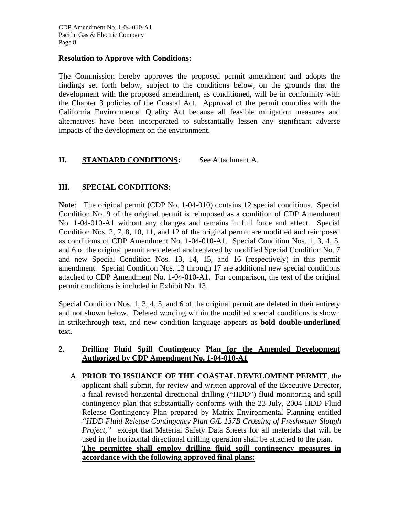#### **Resolution to Approve with Conditions:**

The Commission hereby approves the proposed permit amendment and adopts the findings set forth below, subject to the conditions below, on the grounds that the development with the proposed amendment, as conditioned, will be in conformity with the Chapter 3 policies of the Coastal Act. Approval of the permit complies with the California Environmental Quality Act because all feasible mitigation measures and alternatives have been incorporated to substantially lessen any significant adverse impacts of the development on the environment.

## **II.** STANDARD CONDITIONS: See Attachment A.

## **III. SPECIAL CONDITIONS:**

**Note**: The original permit (CDP No. 1-04-010) contains 12 special conditions. Special Condition No. 9 of the original permit is reimposed as a condition of CDP Amendment No. 1-04-010-A1 without any changes and remains in full force and effect. Special Condition Nos. 2, 7, 8, 10, 11, and 12 of the original permit are modified and reimposed as conditions of CDP Amendment No. 1-04-010-A1. Special Condition Nos. 1, 3, 4, 5, and 6 of the original permit are deleted and replaced by modified Special Condition No. 7 and new Special Condition Nos. 13, 14, 15, and 16 (respectively) in this permit amendment. Special Condition Nos. 13 through 17 are additional new special conditions attached to CDP Amendment No. 1-04-010-A1. For comparison, the text of the original permit conditions is included in Exhibit No. 13.

Special Condition Nos. 1, 3, 4, 5, and 6 of the original permit are deleted in their entirety and not shown below. Deleted wording within the modified special conditions is shown in strikethrough text, and new condition language appears as **bold double-underlined** text.

## **2. Drilling Fluid Spill Contingency Plan for the Amended Development Authorized by CDP Amendment No. 1-04-010-A1**

 A. **PRIOR TO ISSUANCE OF THE COASTAL DEVELOMENT PERMIT**, the applicant shall submit, for review and written approval of the Executive Director, a final revised horizontal directional drilling ("HDD") fluid monitoring and spill contingency plan that substantially conforms with the 23 July, 2004 HDD Fluid Release Contingency Plan prepared by Matrix Environmental Planning entitled *"HDD Fluid Release Contingency Plan G/L 137B Crossing of Freshwater Slough Project,"* except that Material Safety Data Sheets for all materials that will be used in the horizontal directional drilling operation shall be attached to the plan. **The permittee shall employ drilling fluid spill contingency measures in accordance with the following approved final plans:**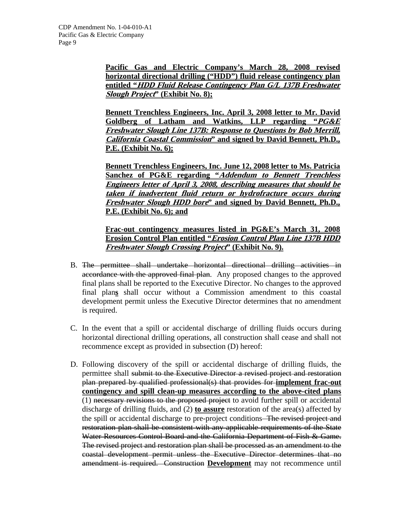**Pacific Gas and Electric Company's March 28, 2008 revised horizontal directional drilling ("HDD") fluid release contingency plan entitled "HDD Fluid Release Contingency Plan G/L 137B Freshwater Slough Project" (Exhibit No. 8);**

**Bennett Trenchless Engineers, Inc. April 3, 2008 letter to Mr. David Goldberg of Latham and Watkins, LLP regarding "PG&E Freshwater Slough Line 137B: Response to Questions by Bob Merrill, California Coastal Commission" and signed by David Bennett, Ph.D., P.E. (Exhibit No. 6);**

**Bennett Trenchless Engineers, Inc. June 12, 2008 letter to Ms. Patricia Sanchez of PG&E regarding "Addendum to Bennett Trenchless Engineers letter of April 3, 2008, describing measures that should be taken if inadvertent fluid return or hydrofracture occurs during Freshwater Slough HDD bore" and signed by David Bennett, Ph.D., P.E. (Exhibit No. 6); and**

**Frac-out contingency measures listed in PG&E's March 31, 2008 Erosion Control Plan entitled "Erosion Control Plan Line 137B HDD Freshwater Slough Crossing Project" (Exhibit No. 9).**

- B. The permittee shall undertake horizontal directional drilling activities in accordance with the approved final plan. Any proposed changes to the approved final plans shall be reported to the Executive Director. No changes to the approved final plan**s** shall occur without a Commission amendment to this coastal development permit unless the Executive Director determines that no amendment is required.
- C. In the event that a spill or accidental discharge of drilling fluids occurs during horizontal directional drilling operations, all construction shall cease and shall not recommence except as provided in subsection (D) hereof:
- D. Following discovery of the spill or accidental discharge of drilling fluids, the permittee shall submit to the Executive Director a revised project and restoration plan prepared by qualified professional(s) that provides for **implement frac-out contingency and spill clean-up measures according to the above-cited plans** (1) necessary revisions to the proposed project to avoid further spill or accidental discharge of drilling fluids, and (2) **to assure** restoration of the area(s) affected by the spill or accidental discharge to pre-project conditions The revised project and restoration plan shall be consistent with any applicable requirements of the State Water Resources Control Board and the California Department of Fish & Game. The revised project and restoration plan shall be processed as an amendment to the coastal development permit unless the Executive Director determines that no amendment is required. Construction **Development** may not recommence until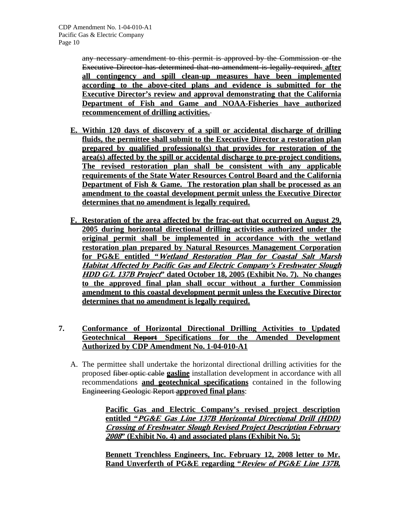any necessary amendment to this permit is approved by the Commission or the Executive Director has determined that no amendment is legally required. **after all contingency and spill clean-up measures have been implemented according to the above-cited plans and evidence is submitted for the Executive Director's review and approval demonstrating that the California Department of Fish and Game and NOAA-Fisheries have authorized recommencement of drilling activities.**

- **E. Within 120 days of discovery of a spill or accidental discharge of drilling fluids, the permittee shall submit to the Executive Director a restoration plan prepared by qualified professional(s) that provides for restoration of the area(s) affected by the spill or accidental discharge to pre-project conditions. The revised restoration plan shall be consistent with any applicable requirements of the State Water Resources Control Board and the California Department of Fish & Game. The restoration plan shall be processed as an amendment to the coastal development permit unless the Executive Director determines that no amendment is legally required.**
- **F. Restoration of the area affected by the frac-out that occurred on August 29, 2005 during horizontal directional drilling activities authorized under the original permit shall be implemented in accordance with the wetland restoration plan prepared by Natural Resources Management Corporation for PG&E entitled "Wetland Restoration Plan for Coastal Salt Marsh Habitat Affected by Pacific Gas and Electric Company's Freshwater Slough HDD G/L 137B Project" dated October 18, 2005 (Exhibit No. 7). No changes to the approved final plan shall occur without a further Commission amendment to this coastal development permit unless the Executive Director determines that no amendment is legally required.**
- **7. Conformance of Horizontal Directional Drilling Activities to Updated Geotechnical Report Specifications for the Amended Development Authorized by CDP Amendment No. 1-04-010-A1**
	- A. The permittee shall undertake the horizontal directional drilling activities for the proposed fiber optic cable **gasline** installation development in accordance with all recommendations **and geotechnical specifications** contained in the following Engineering Geologic Report **approved final plans**:

**Pacific Gas and Electric Company's revised project description entitled "PG&E Gas Line 137B Horizontal Directional Drill (HDD) Crossing of Freshwater Slough Revised Project Description February <sup>2008</sup>" (Exhibit No. 4) and associated plans (Exhibit No. 5);**

**Bennett Trenchless Engineers, Inc. February 12, 2008 letter to Mr. Rand Unverferth of PG&E regarding "Review of PG&E Line 137B,**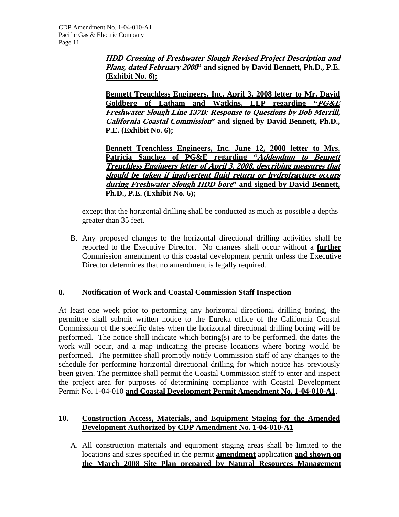**HDD Crossing of Freshwater Slough Revised Project Description and Plans, dated February 2008" and signed by David Bennett, Ph.D., P.E. (Exhibit No. 6);**

**Bennett Trenchless Engineers, Inc. April 3, 2008 letter to Mr. David Goldberg of Latham and Watkins, LLP regarding "PG&E Freshwater Slough Line 137B: Response to Questions by Bob Merrill, California Coastal Commission" and signed by David Bennett, Ph.D., P.E. (Exhibit No. 6);**

**Bennett Trenchless Engineers, Inc. June 12, 2008 letter to Mrs. Patricia Sanchez of PG&E regarding "Addendum to Bennett Trenchless Engineers letter of April 3, 2008, describing measures that should be taken if inadvertent fluid return or hydrofracture occurs during Freshwater Slough HDD bore" and signed by David Bennett, Ph.D., P.E. (Exhibit No. 6);**

except that the horizontal drilling shall be conducted as much as possible a depths greater than 35 feet.

 B. Any proposed changes to the horizontal directional drilling activities shall be reported to the Executive Director. No changes shall occur without a **further** Commission amendment to this coastal development permit unless the Executive Director determines that no amendment is legally required.

# **8. Notification of Work and Coastal Commission Staff Inspection**

At least one week prior to performing any horizontal directional drilling boring, the permittee shall submit written notice to the Eureka office of the California Coastal Commission of the specific dates when the horizontal directional drilling boring will be performed. The notice shall indicate which boring(s) are to be performed, the dates the work will occur, and a map indicating the precise locations where boring would be performed. The permittee shall promptly notify Commission staff of any changes to the schedule for performing horizontal directional drilling for which notice has previously been given. The permittee shall permit the Coastal Commission staff to enter and inspect the project area for purposes of determining compliance with Coastal Development Permit No. 1-04-010 **and Coastal Development Permit Amendment No. 1-04-010-A1**.

## **10. Construction Access, Materials, and Equipment Staging for the Amended Development Authorized by CDP Amendment No. 1-04-010-A1**

 A. All construction materials and equipment staging areas shall be limited to the locations and sizes specified in the permit **amendment** application **and shown on the March 2008 Site Plan prepared by Natural Resources Management**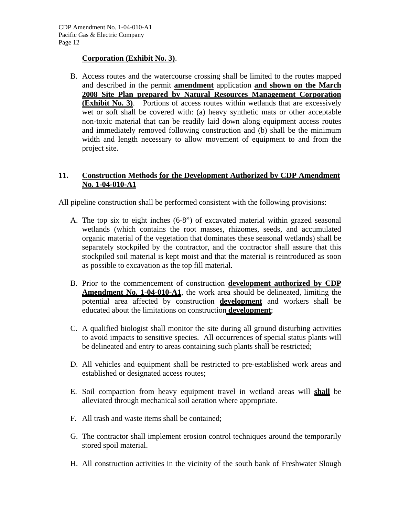## **Corporation (Exhibit No. 3)**.

 B. Access routes and the watercourse crossing shall be limited to the routes mapped and described in the permit **amendment** application **and shown on the March 2008 Site Plan prepared by Natural Resources Management Corporation (Exhibit No. 3)**. Portions of access routes within wetlands that are excessively wet or soft shall be covered with: (a) heavy synthetic mats or other acceptable non-toxic material that can be readily laid down along equipment access routes and immediately removed following construction and (b) shall be the minimum width and length necessary to allow movement of equipment to and from the project site.

## **11. Construction Methods for the Development Authorized by CDP Amendment No. 1-04-010-A1**

All pipeline construction shall be performed consistent with the following provisions:

- A. The top six to eight inches (6-8") of excavated material within grazed seasonal wetlands (which contains the root masses, rhizomes, seeds, and accumulated organic material of the vegetation that dominates these seasonal wetlands) shall be separately stockpiled by the contractor, and the contractor shall assure that this stockpiled soil material is kept moist and that the material is reintroduced as soon as possible to excavation as the top fill material.
- B. Prior to the commencement of construction **development authorized by CDP Amendment No. 1-04-010-A1**, the work area should be delineated, limiting the potential area affected by construction **development** and workers shall be educated about the limitations on construction **development**;
- C. A qualified biologist shall monitor the site during all ground disturbing activities to avoid impacts to sensitive species. All occurrences of special status plants will be delineated and entry to areas containing such plants shall be restricted;
- D. All vehicles and equipment shall be restricted to pre-established work areas and established or designated access routes;
- E. Soil compaction from heavy equipment travel in wetland areas will **shall** be alleviated through mechanical soil aeration where appropriate.
- F. All trash and waste items shall be contained;
- G. The contractor shall implement erosion control techniques around the temporarily stored spoil material.
- H. All construction activities in the vicinity of the south bank of Freshwater Slough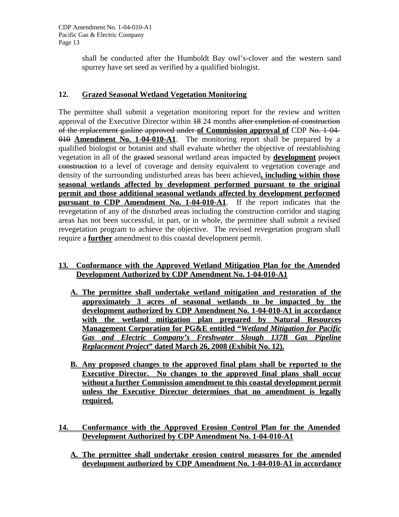shall be conducted after the Humboldt Bay owl's-clover and the western sand spurrey have set seed as verified by a qualified biologist.

## **12. Grazed Seasonal Wetland Vegetation Monitoring**

The permittee shall submit a vegetation monitoring report for the review and written approval of the Executive Director within 18 24 months after completion of construction of the replacement gasline approved under **of Commission approval of** CDP No. 1-04- 010 **Amendment No. 1-04-010-A1**. The monitoring report shall be prepared by a qualified biologist or botanist and shall evaluate whether the objective of reestablishing vegetation in all of the grazed seasonal wetland areas impacted by **development** project construction to a level of coverage and density equivalent to vegetation coverage and density of the surrounding undisturbed areas has been achieved**, including within those seasonal wetlands affected by development performed pursuant to the original permit and those additional seasonal wetlands affected by development performed pursuant to CDP Amendment No. 1-04-010-A1**. If the report indicates that the revegetation of any of the disturbed areas including the construction corridor and staging areas has not been successful, in part, or in whole, the permittee shall submit a revised revegetation program to achieve the objective. The revised revegetation program shall require a **further** amendment to this coastal development permit.

## **13. Conformance with the Approved Wetland Mitigation Plan for the Amended Development Authorized by CDP Amendment No. 1-04-010-A1**

- **A. The permittee shall undertake wetland mitigation and restoration of the approximately 3 acres of seasonal wetlands to be impacted by the development authorized by CDP Amendment No. 1-04-010-A1 in accordance with the wetland mitigation plan prepared by Natural Resources Management Corporation for PG&E entitled "***Wetland Mitigation for Pacific Gas and Electric Company's Freshwater Slough 137B Gas Pipeline Replacement Project***" dated March 26, 2008 (Exhibit No. 12).**
- **B. Any proposed changes to the approved final plans shall be reported to the Executive Director. No changes to the approved final plans shall occur without a further Commission amendment to this coastal development permit unless the Executive Director determines that no amendment is legally required.**
- **14. Conformance with the Approved Erosion Control Plan for the Amended Development Authorized by CDP Amendment No. 1-04-010-A1** 
	- **A. The permittee shall undertake erosion control measures for the amended development authorized by CDP Amendment No. 1-04-010-A1 in accordance**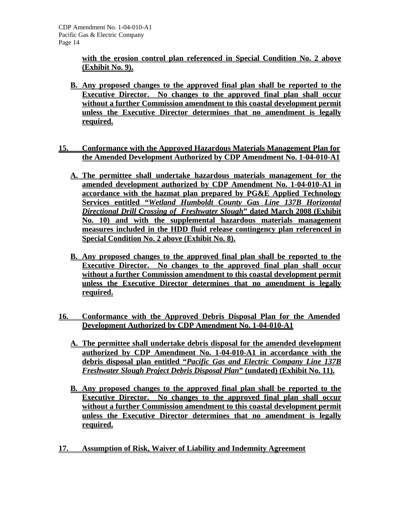**with the erosion control plan referenced in Special Condition No. 2 above (Exhibit No. 9).**

- **B. Any proposed changes to the approved final plan shall be reported to the Executive Director. No changes to the approved final plan shall occur without a further Commission amendment to this coastal development permit unless the Executive Director determines that no amendment is legally required.**
- **15. Conformance with the Approved Hazardous Materials Management Plan for the Amended Development Authorized by CDP Amendment No. 1-04-010-A1**
	- **A. The permittee shall undertake hazardous materials management for the amended development authorized by CDP Amendment No. 1-04-010-A1 in accordance with the hazmat plan prepared by PG&E Applied Technology Services entitled "***Wetland Humboldt County Gas Line 137B Horizontal Directional Drill Crossing of Freshwater Slough***" dated March 2008 (Exhibit No. 10) and with the supplemental hazardous materials management measures included in the HDD fluid release contingency plan referenced in Special Condition No. 2 above (Exhibit No. 8).**
	- **B. Any proposed changes to the approved final plan shall be reported to the Executive Director. No changes to the approved final plan shall occur without a further Commission amendment to this coastal development permit unless the Executive Director determines that no amendment is legally required.**
- **16. Conformance with the Approved Debris Disposal Plan for the Amended Development Authorized by CDP Amendment No. 1-04-010-A1** 
	- **A. The permittee shall undertake debris disposal for the amended development authorized by CDP Amendment No. 1-04-010-A1 in accordance with the debris disposal plan entitled "***Pacific Gas and Electric Company Line 137B Freshwater Slough Project Debris Disposal Plan***" (undated) (Exhibit No. 11).**
	- **B. Any proposed changes to the approved final plan shall be reported to the Executive Director. No changes to the approved final plan shall occur without a further Commission amendment to this coastal development permit unless the Executive Director determines that no amendment is legally required.**
- **17. Assumption of Risk, Waiver of Liability and Indemnity Agreement**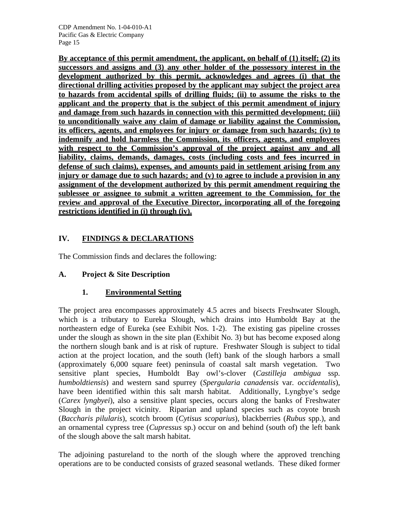**By acceptance of this permit amendment, the applicant, on behalf of (1) itself; (2) its successors and assigns and (3) any other holder of the possessory interest in the development authorized by this permit, acknowledges and agrees (i) that the directional drilling activities proposed by the applicant may subject the project area to hazards from accidental spills of drilling fluids; (ii) to assume the risks to the applicant and the property that is the subject of this permit amendment of injury and damage from such hazards in connection with this permitted development; (iii) to unconditionally waive any claim of damage or liability against the Commission, its officers, agents, and employees for injury or damage from such hazards; (iv) to indemnify and hold harmless the Commission, its officers, agents, and employees**  with respect to the Commission's approval of the project against any and all **liability, claims, demands, damages, costs (including costs and fees incurred in defense of such claims), expenses, and amounts paid in settlement arising from any injury or damage due to such hazards; and (v) to agree to include a provision in any assignment of the development authorized by this permit amendment requiring the sublessee or assignee to submit a written agreement to the Commission, for the review and approval of the Executive Director, incorporating all of the foregoing restrictions identified in (i) through (iv).**

# **IV. FINDINGS & DECLARATIONS**

The Commission finds and declares the following:

# **A. Project & Site Description**

# **1. Environmental Setting**

The project area encompasses approximately 4.5 acres and bisects Freshwater Slough, which is a tributary to Eureka Slough, which drains into Humboldt Bay at the northeastern edge of Eureka (see Exhibit Nos. 1-2). The existing gas pipeline crosses under the slough as shown in the site plan (Exhibit No. 3) but has become exposed along the northern slough bank and is at risk of rupture. Freshwater Slough is subject to tidal action at the project location, and the south (left) bank of the slough harbors a small (approximately 6,000 square feet) peninsula of coastal salt marsh vegetation. Two sensitive plant species, Humboldt Bay owl's-clover (*Castilleja ambigua* ssp. *humboldtiensis*) and western sand spurrey (*Spergularia canadensis* var*. occidentalis*), have been identified within this salt marsh habitat. Additionally, Lyngbye's sedge (*Carex lyngbyei*), also a sensitive plant species, occurs along the banks of Freshwater Slough in the project vicinity. Riparian and upland species such as coyote brush (*Baccharis pilularis*), scotch broom (*Cytisus scoparius*), blackberries (*Rubus* spp.), and an ornamental cypress tree (*Cupressus* sp.) occur on and behind (south of) the left bank of the slough above the salt marsh habitat.

The adjoining pastureland to the north of the slough where the approved trenching operations are to be conducted consists of grazed seasonal wetlands. These diked former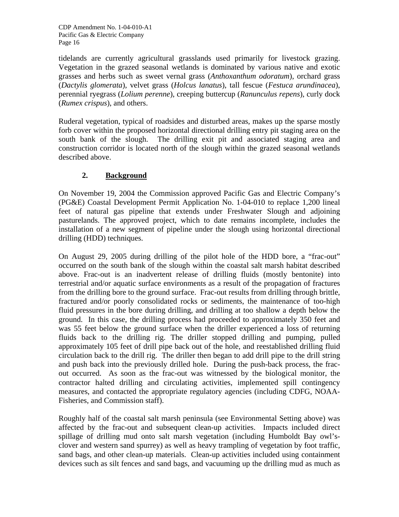tidelands are currently agricultural grasslands used primarily for livestock grazing. Vegetation in the grazed seasonal wetlands is dominated by various native and exotic grasses and herbs such as sweet vernal grass (*Anthoxanthum odoratum*), orchard grass (*Dactylis glomerata*), velvet grass (*Holcus lanatus*), tall fescue (*Festuca arundinacea*), perennial ryegrass (*Lolium perenne*), creeping buttercup (*Ranunculus repens*), curly dock (*Rumex crispus*), and others.

Ruderal vegetation, typical of roadsides and disturbed areas, makes up the sparse mostly forb cover within the proposed horizontal directional drilling entry pit staging area on the south bank of the slough. The drilling exit pit and associated staging area and construction corridor is located north of the slough within the grazed seasonal wetlands described above.

# **2. Background**

On November 19, 2004 the Commission approved Pacific Gas and Electric Company's (PG&E) Coastal Development Permit Application No. 1-04-010 to replace 1,200 lineal feet of natural gas pipeline that extends under Freshwater Slough and adjoining pasturelands. The approved project, which to date remains incomplete, includes the installation of a new segment of pipeline under the slough using horizontal directional drilling (HDD) techniques.

On August 29, 2005 during drilling of the pilot hole of the HDD bore, a "frac-out" occurred on the south bank of the slough within the coastal salt marsh habitat described above. Frac-out is an inadvertent release of drilling fluids (mostly bentonite) into terrestrial and/or aquatic surface environments as a result of the propagation of fractures from the drilling bore to the ground surface. Frac-out results from drilling through brittle, fractured and/or poorly consolidated rocks or sediments, the maintenance of too-high fluid pressures in the bore during drilling, and drilling at too shallow a depth below the ground. In this case, the drilling process had proceeded to approximately 350 feet and was 55 feet below the ground surface when the driller experienced a loss of returning fluids back to the drilling rig. The driller stopped drilling and pumping, pulled approximately 105 feet of drill pipe back out of the hole, and reestablished drilling fluid circulation back to the drill rig. The driller then began to add drill pipe to the drill string and push back into the previously drilled hole. During the push-back process, the fracout occurred. As soon as the frac-out was witnessed by the biological monitor, the contractor halted drilling and circulating activities, implemented spill contingency measures, and contacted the appropriate regulatory agencies (including CDFG, NOAA-Fisheries, and Commission staff).

Roughly half of the coastal salt marsh peninsula (see Environmental Setting above) was affected by the frac-out and subsequent clean-up activities. Impacts included direct spillage of drilling mud onto salt marsh vegetation (including Humboldt Bay owl'sclover and western sand spurrey) as well as heavy trampling of vegetation by foot traffic, sand bags, and other clean-up materials. Clean-up activities included using containment devices such as silt fences and sand bags, and vacuuming up the drilling mud as much as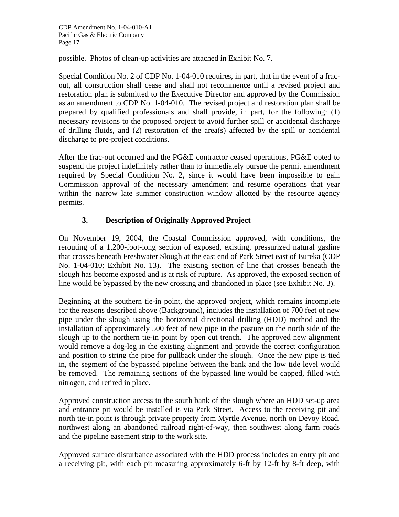possible. Photos of clean-up activities are attached in Exhibit No. 7.

Special Condition No. 2 of CDP No. 1-04-010 requires, in part, that in the event of a fracout, all construction shall cease and shall not recommence until a revised project and restoration plan is submitted to the Executive Director and approved by the Commission as an amendment to CDP No. 1-04-010. The revised project and restoration plan shall be prepared by qualified professionals and shall provide, in part, for the following: (1) necessary revisions to the proposed project to avoid further spill or accidental discharge of drilling fluids, and (2) restoration of the area(s) affected by the spill or accidental discharge to pre-project conditions.

After the frac-out occurred and the PG&E contractor ceased operations, PG&E opted to suspend the project indefinitely rather than to immediately pursue the permit amendment required by Special Condition No. 2, since it would have been impossible to gain Commission approval of the necessary amendment and resume operations that year within the narrow late summer construction window allotted by the resource agency permits.

# **3. Description of Originally Approved Project**

On November 19, 2004, the Coastal Commission approved, with conditions, the rerouting of a 1,200-foot-long section of exposed, existing, pressurized natural gasline that crosses beneath Freshwater Slough at the east end of Park Street east of Eureka (CDP No. 1-04-010; Exhibit No. 13). The existing section of line that crosses beneath the slough has become exposed and is at risk of rupture. As approved, the exposed section of line would be bypassed by the new crossing and abandoned in place (see Exhibit No. 3).

Beginning at the southern tie-in point, the approved project, which remains incomplete for the reasons described above (Background), includes the installation of 700 feet of new pipe under the slough using the horizontal directional drilling (HDD) method and the installation of approximately 500 feet of new pipe in the pasture on the north side of the slough up to the northern tie-in point by open cut trench. The approved new alignment would remove a dog-leg in the existing alignment and provide the correct configuration and position to string the pipe for pullback under the slough. Once the new pipe is tied in, the segment of the bypassed pipeline between the bank and the low tide level would be removed. The remaining sections of the bypassed line would be capped, filled with nitrogen, and retired in place.

Approved construction access to the south bank of the slough where an HDD set-up area and entrance pit would be installed is via Park Street. Access to the receiving pit and north tie-in point is through private property from Myrtle Avenue, north on Devoy Road, northwest along an abandoned railroad right-of-way, then southwest along farm roads and the pipeline easement strip to the work site.

Approved surface disturbance associated with the HDD process includes an entry pit and a receiving pit, with each pit measuring approximately 6-ft by 12-ft by 8-ft deep, with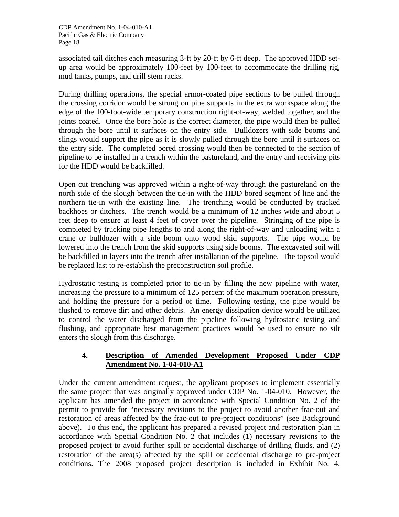associated tail ditches each measuring 3-ft by 20-ft by 6-ft deep. The approved HDD setup area would be approximately 100-feet by 100-feet to accommodate the drilling rig, mud tanks, pumps, and drill stem racks.

During drilling operations, the special armor-coated pipe sections to be pulled through the crossing corridor would be strung on pipe supports in the extra workspace along the edge of the 100-foot-wide temporary construction right-of-way, welded together, and the joints coated. Once the bore hole is the correct diameter, the pipe would then be pulled through the bore until it surfaces on the entry side. Bulldozers with side booms and slings would support the pipe as it is slowly pulled through the bore until it surfaces on the entry side. The completed bored crossing would then be connected to the section of pipeline to be installed in a trench within the pastureland, and the entry and receiving pits for the HDD would be backfilled.

Open cut trenching was approved within a right-of-way through the pastureland on the north side of the slough between the tie-in with the HDD bored segment of line and the northern tie-in with the existing line. The trenching would be conducted by tracked backhoes or ditchers. The trench would be a minimum of 12 inches wide and about 5 feet deep to ensure at least 4 feet of cover over the pipeline. Stringing of the pipe is completed by trucking pipe lengths to and along the right-of-way and unloading with a crane or bulldozer with a side boom onto wood skid supports. The pipe would be lowered into the trench from the skid supports using side booms. The excavated soil will be backfilled in layers into the trench after installation of the pipeline. The topsoil would be replaced last to re-establish the preconstruction soil profile.

Hydrostatic testing is completed prior to tie-in by filling the new pipeline with water, increasing the pressure to a minimum of 125 percent of the maximum operation pressure, and holding the pressure for a period of time. Following testing, the pipe would be flushed to remove dirt and other debris. An energy dissipation device would be utilized to control the water discharged from the pipeline following hydrostatic testing and flushing, and appropriate best management practices would be used to ensure no silt enters the slough from this discharge.

## **4. Description of Amended Development Proposed Under CDP Amendment No. 1-04-010-A1**

Under the current amendment request, the applicant proposes to implement essentially the same project that was originally approved under CDP No. 1-04-010. However, the applicant has amended the project in accordance with Special Condition No. 2 of the permit to provide for "necessary revisions to the project to avoid another frac-out and restoration of areas affected by the frac-out to pre-project conditions" (see Background above). To this end, the applicant has prepared a revised project and restoration plan in accordance with Special Condition No. 2 that includes (1) necessary revisions to the proposed project to avoid further spill or accidental discharge of drilling fluids, and (2) restoration of the area(s) affected by the spill or accidental discharge to pre-project conditions. The 2008 proposed project description is included in Exhibit No. 4.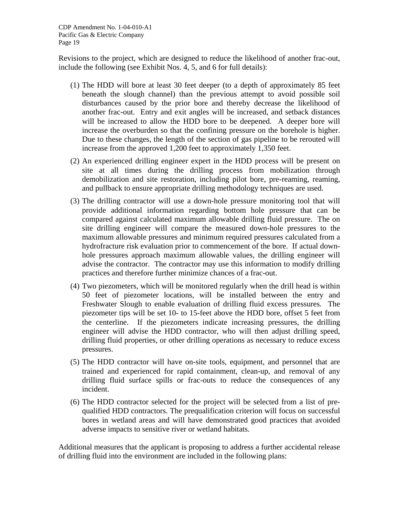Revisions to the project, which are designed to reduce the likelihood of another frac-out, include the following (see Exhibit Nos. 4, 5, and 6 for full details):

- (1) The HDD will bore at least 30 feet deeper (to a depth of approximately 85 feet beneath the slough channel) than the previous attempt to avoid possible soil disturbances caused by the prior bore and thereby decrease the likelihood of another frac-out. Entry and exit angles will be increased, and setback distances will be increased to allow the HDD bore to be deepened. A deeper bore will increase the overburden so that the confining pressure on the borehole is higher. Due to these changes, the length of the section of gas pipeline to be rerouted will increase from the approved 1,200 feet to approximately 1,350 feet.
- (2) An experienced drilling engineer expert in the HDD process will be present on site at all times during the drilling process from mobilization through demobilization and site restoration, including pilot bore, pre-reaming, reaming, and pullback to ensure appropriate drilling methodology techniques are used.
- (3) The drilling contractor will use a down-hole pressure monitoring tool that will provide additional information regarding bottom hole pressure that can be compared against calculated maximum allowable drilling fluid pressure. The on site drilling engineer will compare the measured down-hole pressures to the maximum allowable pressures and minimum required pressures calculated from a hydrofracture risk evaluation prior to commencement of the bore. If actual downhole pressures approach maximum allowable values, the drilling engineer will advise the contractor. The contractor may use this information to modify drilling practices and therefore further minimize chances of a frac-out.
- (4) Two piezometers, which will be monitored regularly when the drill head is within 50 feet of piezometer locations, will be installed between the entry and Freshwater Slough to enable evaluation of drilling fluid excess pressures. The piezometer tips will be set 10- to 15-feet above the HDD bore, offset 5 feet from the centerline. If the piezometers indicate increasing pressures, the drilling engineer will advise the HDD contractor, who will then adjust drilling speed, drilling fluid properties, or other drilling operations as necessary to reduce excess pressures.
- (5) The HDD contractor will have on-site tools, equipment, and personnel that are trained and experienced for rapid containment, clean-up, and removal of any drilling fluid surface spills or frac-outs to reduce the consequences of any incident.
- (6) The HDD contractor selected for the project will be selected from a list of prequalified HDD contractors. The prequalification criterion will focus on successful bores in wetland areas and will have demonstrated good practices that avoided adverse impacts to sensitive river or wetland habitats.

Additional measures that the applicant is proposing to address a further accidental release of drilling fluid into the environment are included in the following plans: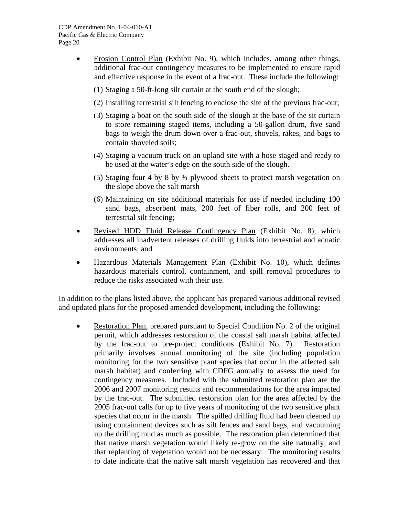- Erosion Control Plan (Exhibit No. 9), which includes, among other things, additional frac-out contingency measures to be implemented to ensure rapid and effective response in the event of a frac-out. These include the following:
	- (1) Staging a 50-ft-long silt curtain at the south end of the slough;
	- (2) Installing terrestrial silt fencing to enclose the site of the previous frac-out;
	- (3) Staging a boat on the south side of the slough at the base of the sit curtain to store remaining staged items, including a 50-gallon drum, five sand bags to weigh the drum down over a frac-out, shovels, rakes, and bags to contain shoveled soils;
	- (4) Staging a vacuum truck on an upland site with a hose staged and ready to be used at the water's edge on the south side of the slough.
	- (5) Staging four 4 by 8 by ¾ plywood sheets to protect marsh vegetation on the slope above the salt marsh
	- (6) Maintaining on site additional materials for use if needed including 100 sand bags, absorbent mats, 200 feet of fiber rolls, and 200 feet of terrestrial silt fencing;
- Revised HDD Fluid Release Contingency Plan (Exhibit No. 8), which addresses all inadvertent releases of drilling fluids into terrestrial and aquatic environments; and
- Hazardous Materials Management Plan (Exhibit No. 10), which defines hazardous materials control, containment, and spill removal procedures to reduce the risks associated with their use.

In addition to the plans listed above, the applicant has prepared various additional revised and updated plans for the proposed amended development, including the following:

Restoration Plan, prepared pursuant to Special Condition No. 2 of the original permit, which addresses restoration of the coastal salt marsh habitat affected by the frac-out to pre-project conditions (Exhibit No. 7). Restoration primarily involves annual monitoring of the site (including population monitoring for the two sensitive plant species that occur in the affected salt marsh habitat) and conferring with CDFG annually to assess the need for contingency measures. Included with the submitted restoration plan are the 2006 and 2007 monitoring results and recommendations for the area impacted by the frac-out. The submitted restoration plan for the area affected by the 2005 frac-out calls for up to five years of monitoring of the two sensitive plant species that occur in the marsh. The spilled drilling fluid had been cleaned up using containment devices such as silt fences and sand bags, and vacuuming up the drilling mud as much as possible. The restoration plan determined that that native marsh vegetation would likely re-grow on the site naturally, and that replanting of vegetation would not be necessary. The monitoring results to date indicate that the native salt marsh vegetation has recovered and that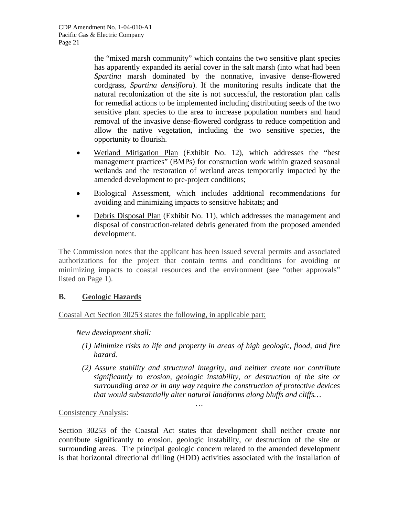the "mixed marsh community" which contains the two sensitive plant species has apparently expanded its aerial cover in the salt marsh (into what had been *Spartina* marsh dominated by the nonnative, invasive dense-flowered cordgrass, *Spartina densiflora*). If the monitoring results indicate that the natural recolonization of the site is not successful, the restoration plan calls for remedial actions to be implemented including distributing seeds of the two sensitive plant species to the area to increase population numbers and hand removal of the invasive dense-flowered cordgrass to reduce competition and allow the native vegetation, including the two sensitive species, the opportunity to flourish.

- Wetland Mitigation Plan (Exhibit No. 12), which addresses the "best" management practices" (BMPs) for construction work within grazed seasonal wetlands and the restoration of wetland areas temporarily impacted by the amended development to pre-project conditions;
- Biological Assessment, which includes additional recommendations for avoiding and minimizing impacts to sensitive habitats; and
- Debris Disposal Plan (Exhibit No. 11), which addresses the management and disposal of construction-related debris generated from the proposed amended development.

The Commission notes that the applicant has been issued several permits and associated authorizations for the project that contain terms and conditions for avoiding or minimizing impacts to coastal resources and the environment (see "other approvals" listed on Page 1).

## **B. Geologic Hazards**

Coastal Act Section 30253 states the following, in applicable part:

*New development shall:* 

- *(1) Minimize risks to life and property in areas of high geologic, flood, and fire hazard.*
- *(2) Assure stability and structural integrity, and neither create nor contribute significantly to erosion, geologic instability, or destruction of the site or surrounding area or in any way require the construction of protective devices that would substantially alter natural landforms along bluffs and cliffs…*

Consistency Analysis:

Section 30253 of the Coastal Act states that development shall neither create nor contribute significantly to erosion, geologic instability, or destruction of the site or surrounding areas. The principal geologic concern related to the amended development is that horizontal directional drilling (HDD) activities associated with the installation of

…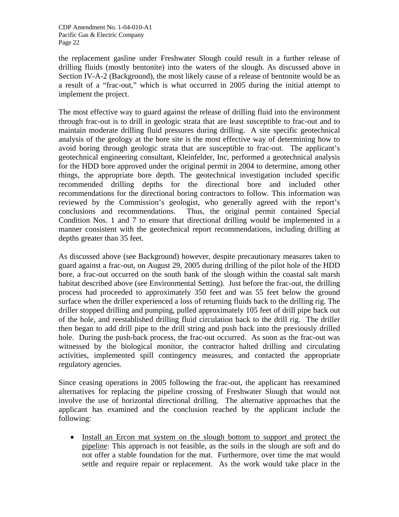the replacement gasline under Freshwater Slough could result in a further release of drilling fluids (mostly bentonite) into the waters of the slough. As discussed above in Section IV-A-2 (Background), the most likely cause of a release of bentonite would be as a result of a "frac-out," which is what occurred in 2005 during the initial attempt to implement the project.

The most effective way to guard against the release of drilling fluid into the environment through frac-out is to drill in geologic strata that are least susceptible to frac-out and to maintain moderate drilling fluid pressures during drilling. A site specific geotechnical analysis of the geology at the bore site is the most effective way of determining how to avoid boring through geologic strata that are susceptible to frac-out. The applicant's geotechnical engineering consultant, Kleinfelder, Inc, performed a geotechnical analysis for the HDD bore approved under the original permit in 2004 to determine, among other things, the appropriate bore depth. The geotechnical investigation included specific recommended drilling depths for the directional bore and included other recommendations for the directional boring contractors to follow. This information was reviewed by the Commission's geologist, who generally agreed with the report's conclusions and recommendations. Thus, the original permit contained Special Condition Nos. 1 and 7 to ensure that directional drilling would be implemented in a manner consistent with the geotechnical report recommendations, including drilling at depths greater than 35 feet.

As discussed above (see Background) however, despite precautionary measures taken to guard against a frac-out, on August 29, 2005 during drilling of the pilot hole of the HDD bore, a frac-out occurred on the south bank of the slough within the coastal salt marsh habitat described above (see Environmental Setting). Just before the frac-out, the drilling process had proceeded to approximately 350 feet and was 55 feet below the ground surface when the driller experienced a loss of returning fluids back to the drilling rig. The driller stopped drilling and pumping, pulled approximately 105 feet of drill pipe back out of the hole, and reestablished drilling fluid circulation back to the drill rig. The driller then began to add drill pipe to the drill string and push back into the previously drilled hole. During the push-back process, the frac-out occurred. As soon as the frac-out was witnessed by the biological monitor, the contractor halted drilling and circulating activities, implemented spill contingency measures, and contacted the appropriate regulatory agencies.

Since ceasing operations in 2005 following the frac-out, the applicant has reexamined alternatives for replacing the pipeline crossing of Freshwater Slough that would not involve the use of horizontal directional drilling. The alternative approaches that the applicant has examined and the conclusion reached by the applicant include the following:

• Install an Ercon mat system on the slough bottom to support and protect the pipeline: This approach is not feasible, as the soils in the slough are soft and do not offer a stable foundation for the mat. Furthermore, over time the mat would settle and require repair or replacement. As the work would take place in the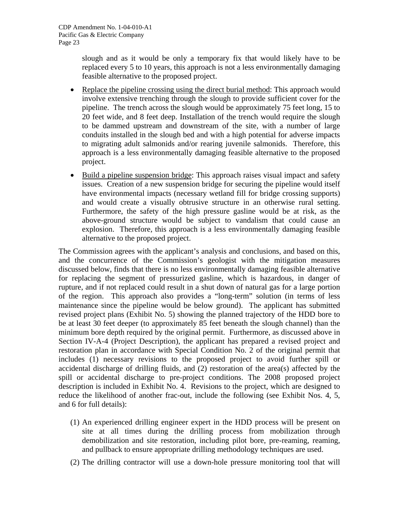slough and as it would be only a temporary fix that would likely have to be replaced every 5 to 10 years, this approach is not a less environmentally damaging feasible alternative to the proposed project.

- Replace the pipeline crossing using the direct burial method: This approach would involve extensive trenching through the slough to provide sufficient cover for the pipeline. The trench across the slough would be approximately 75 feet long, 15 to 20 feet wide, and 8 feet deep. Installation of the trench would require the slough to be dammed upstream and downstream of the site, with a number of large conduits installed in the slough bed and with a high potential for adverse impacts to migrating adult salmonids and/or rearing juvenile salmonids. Therefore, this approach is a less environmentally damaging feasible alternative to the proposed project.
- Build a pipeline suspension bridge: This approach raises visual impact and safety issues. Creation of a new suspension bridge for securing the pipeline would itself have environmental impacts (necessary wetland fill for bridge crossing supports) and would create a visually obtrusive structure in an otherwise rural setting. Furthermore, the safety of the high pressure gasline would be at risk, as the above-ground structure would be subject to vandalism that could cause an explosion. Therefore, this approach is a less environmentally damaging feasible alternative to the proposed project.

The Commission agrees with the applicant's analysis and conclusions, and based on this, and the concurrence of the Commission's geologist with the mitigation measures discussed below, finds that there is no less environmentally damaging feasible alternative for replacing the segment of pressurized gasline, which is hazardous, in danger of rupture, and if not replaced could result in a shut down of natural gas for a large portion of the region. This approach also provides a "long-term" solution (in terms of less maintenance since the pipeline would be below ground). The applicant has submitted revised project plans (Exhibit No. 5) showing the planned trajectory of the HDD bore to be at least 30 feet deeper (to approximately 85 feet beneath the slough channel) than the minimum bore depth required by the original permit. Furthermore, as discussed above in Section IV-A-4 (Project Description), the applicant has prepared a revised project and restoration plan in accordance with Special Condition No. 2 of the original permit that includes (1) necessary revisions to the proposed project to avoid further spill or accidental discharge of drilling fluids, and (2) restoration of the area(s) affected by the spill or accidental discharge to pre-project conditions. The 2008 proposed project description is included in Exhibit No. 4. Revisions to the project, which are designed to reduce the likelihood of another frac-out, include the following (see Exhibit Nos. 4, 5, and 6 for full details):

- (1) An experienced drilling engineer expert in the HDD process will be present on site at all times during the drilling process from mobilization through demobilization and site restoration, including pilot bore, pre-reaming, reaming, and pullback to ensure appropriate drilling methodology techniques are used.
- (2) The drilling contractor will use a down-hole pressure monitoring tool that will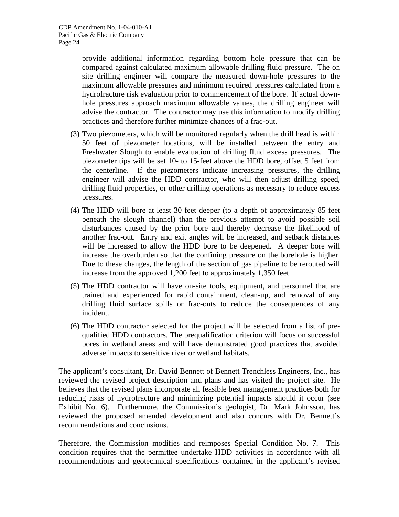provide additional information regarding bottom hole pressure that can be compared against calculated maximum allowable drilling fluid pressure. The on site drilling engineer will compare the measured down-hole pressures to the maximum allowable pressures and minimum required pressures calculated from a hydrofracture risk evaluation prior to commencement of the bore. If actual downhole pressures approach maximum allowable values, the drilling engineer will advise the contractor. The contractor may use this information to modify drilling practices and therefore further minimize chances of a frac-out.

- (3) Two piezometers, which will be monitored regularly when the drill head is within 50 feet of piezometer locations, will be installed between the entry and Freshwater Slough to enable evaluation of drilling fluid excess pressures. The piezometer tips will be set 10- to 15-feet above the HDD bore, offset 5 feet from the centerline. If the piezometers indicate increasing pressures, the drilling engineer will advise the HDD contractor, who will then adjust drilling speed, drilling fluid properties, or other drilling operations as necessary to reduce excess pressures.
- (4) The HDD will bore at least 30 feet deeper (to a depth of approximately 85 feet beneath the slough channel) than the previous attempt to avoid possible soil disturbances caused by the prior bore and thereby decrease the likelihood of another frac-out. Entry and exit angles will be increased, and setback distances will be increased to allow the HDD bore to be deepened. A deeper bore will increase the overburden so that the confining pressure on the borehole is higher. Due to these changes, the length of the section of gas pipeline to be rerouted will increase from the approved 1,200 feet to approximately 1,350 feet.
- (5) The HDD contractor will have on-site tools, equipment, and personnel that are trained and experienced for rapid containment, clean-up, and removal of any drilling fluid surface spills or frac-outs to reduce the consequences of any incident.
- (6) The HDD contractor selected for the project will be selected from a list of prequalified HDD contractors. The prequalification criterion will focus on successful bores in wetland areas and will have demonstrated good practices that avoided adverse impacts to sensitive river or wetland habitats.

The applicant's consultant, Dr. David Bennett of Bennett Trenchless Engineers, Inc., has reviewed the revised project description and plans and has visited the project site. He believes that the revised plans incorporate all feasible best management practices both for reducing risks of hydrofracture and minimizing potential impacts should it occur (see Exhibit No. 6). Furthermore, the Commission's geologist, Dr. Mark Johnsson, has reviewed the proposed amended development and also concurs with Dr. Bennett's recommendations and conclusions.

Therefore, the Commission modifies and reimposes Special Condition No. 7. This condition requires that the permittee undertake HDD activities in accordance with all recommendations and geotechnical specifications contained in the applicant's revised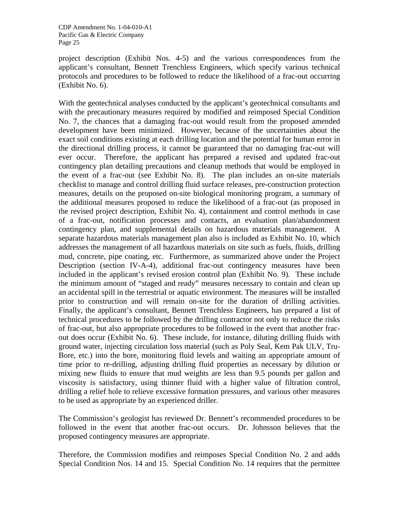project description (Exhibit Nos. 4-5) and the various correspondences from the applicant's consultant, Bennett Trenchless Engineers, which specify various technical protocols and procedures to be followed to reduce the likelihood of a frac-out occurring (Exhibit No. 6).

With the geotechnical analyses conducted by the applicant's geotechnical consultants and with the precautionary measures required by modified and reimposed Special Condition No. 7, the chances that a damaging frac-out would result from the proposed amended development have been minimized. However, because of the uncertainties about the exact soil conditions existing at each drilling location and the potential for human error in the directional drilling process, it cannot be guaranteed that no damaging frac-out will ever occur. Therefore, the applicant has prepared a revised and updated frac-out contingency plan detailing precautions and cleanup methods that would be employed in the event of a frac-out (see Exhibit No. 8). The plan includes an on-site materials checklist to manage and control drilling fluid surface releases, pre-construction protection measures, details on the proposed on-site biological monitoring program, a summary of the additional measures proposed to reduce the likelihood of a frac-out (as proposed in the revised project description, Exhibit No. 4), containment and control methods in case of a frac-out, notification processes and contacts, an evaluation plan/abandonment contingency plan, and supplemental details on hazardous materials management. A separate hazardous materials management plan also is included as Exhibit No. 10, which addresses the management of all hazardous materials on site such as fuels, fluids, drilling mud, concrete, pipe coating, etc. Furthermore, as summarized above under the Project Description (section IV-A-4), additional frac-out contingency measures have been included in the applicant's revised erosion control plan (Exhibit No. 9). These include the minimum amount of "staged and ready" measures necessary to contain and clean up an accidental spill in the terrestrial or aquatic environment. The measures will be installed prior to construction and will remain on-site for the duration of drilling activities. Finally, the applicant's consultant, Bennett Trenchless Engineers, has prepared a list of technical procedures to be followed by the drilling contractor not only to reduce the risks of frac-out, but also appropriate procedures to be followed in the event that another fracout does occur (Exhibit No. 6). These include, for instance, diluting drilling fluids with ground water, injecting circulation loss material (such as Poly Seal, Kem Pak ULV, Tru-Bore, etc.) into the bore, monitoring fluid levels and waiting an appropriate amount of time prior to re-drilling, adjusting drilling fluid properties as necessary by dilution or mixing new fluids to ensure that mud weights are less than 9.5 pounds per gallon and viscosity is satisfactory, using thinner fluid with a higher value of filtration control, drilling a relief hole to relieve excessive formation pressures, and various other measures to be used as appropriate by an experienced driller.

The Commission's geologist has reviewed Dr. Bennett's recommended procedures to be followed in the event that another frac-out occurs. Dr. Johnsson believes that the proposed contingency measures are appropriate.

Therefore, the Commission modifies and reimposes Special Condition No. 2 and adds Special Condition Nos. 14 and 15. Special Condition No. 14 requires that the permittee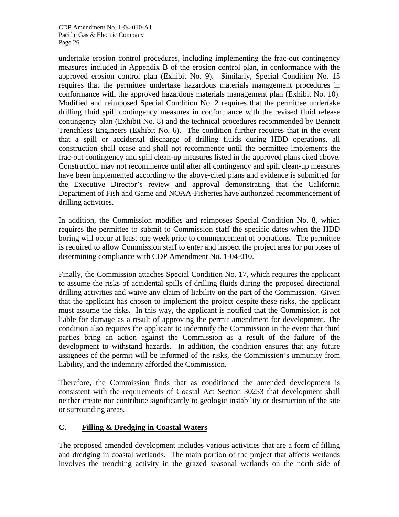undertake erosion control procedures, including implementing the frac-out contingency measures included in Appendix B of the erosion control plan, in conformance with the approved erosion control plan (Exhibit No. 9). Similarly, Special Condition No. 15 requires that the permittee undertake hazardous materials management procedures in conformance with the approved hazardous materials management plan (Exhibit No. 10). Modified and reimposed Special Condition No. 2 requires that the permittee undertake drilling fluid spill contingency measures in conformance with the revised fluid release contingency plan (Exhibit No. 8) and the technical procedures recommended by Bennett Trenchless Engineers (Exhibit No. 6). The condition further requires that in the event that a spill or accidental discharge of drilling fluids during HDD operations, all construction shall cease and shall not recommence until the permittee implements the frac-out contingency and spill clean-up measures listed in the approved plans cited above. Construction may not recommence until after all contingency and spill clean-up measures have been implemented according to the above-cited plans and evidence is submitted for the Executive Director's review and approval demonstrating that the California Department of Fish and Game and NOAA-Fisheries have authorized recommencement of drilling activities.

In addition, the Commission modifies and reimposes Special Condition No. 8, which requires the permittee to submit to Commission staff the specific dates when the HDD boring will occur at least one week prior to commencement of operations. The permittee is required to allow Commission staff to enter and inspect the project area for purposes of determining compliance with CDP Amendment No. 1-04-010.

Finally, the Commission attaches Special Condition No. 17, which requires the applicant to assume the risks of accidental spills of drilling fluids during the proposed directional drilling activities and waive any claim of liability on the part of the Commission. Given that the applicant has chosen to implement the project despite these risks, the applicant must assume the risks. In this way, the applicant is notified that the Commission is not liable for damage as a result of approving the permit amendment for development. The condition also requires the applicant to indemnify the Commission in the event that third parties bring an action against the Commission as a result of the failure of the development to withstand hazards. In addition, the condition ensures that any future assignees of the permit will be informed of the risks, the Commission's immunity from liability, and the indemnity afforded the Commission.

Therefore, the Commission finds that as conditioned the amended development is consistent with the requirements of Coastal Act Section 30253 that development shall neither create nor contribute significantly to geologic instability or destruction of the site or surrounding areas.

# **C. Filling & Dredging in Coastal Waters**

The proposed amended development includes various activities that are a form of filling and dredging in coastal wetlands. The main portion of the project that affects wetlands involves the trenching activity in the grazed seasonal wetlands on the north side of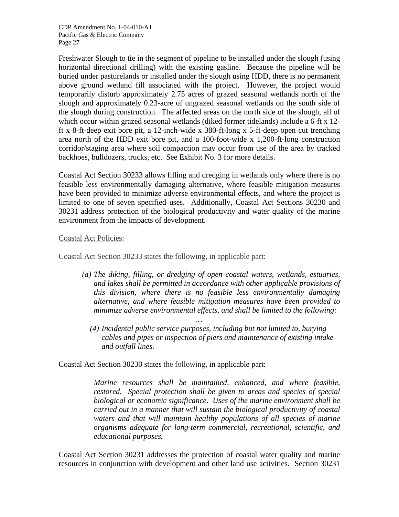Freshwater Slough to tie in the segment of pipeline to be installed under the slough (using horizontal directional drilling) with the existing gasline. Because the pipeline will be buried under pasturelands or installed under the slough using HDD, there is no permanent above ground wetland fill associated with the project. However, the project would temporarily disturb approximately 2.75 acres of grazed seasonal wetlands north of the slough and approximately 0.23-acre of ungrazed seasonal wetlands on the south side of the slough during construction. The affected areas on the north side of the slough, all of which occur within grazed seasonal wetlands (diked former tidelands) include a 6-ft x 12 ft x 8-ft-deep exit bore pit, a 12-inch-wide x 380-ft-long x 5-ft-deep open cut trenching area north of the HDD exit bore pit, and a 100-foot-wide x 1,200-ft-long construction corridor/staging area where soil compaction may occur from use of the area by tracked backhoes, bulldozers, trucks, etc. See Exhibit No. 3 for more details.

Coastal Act Section 30233 allows filling and dredging in wetlands only where there is no feasible less environmentally damaging alternative, where feasible mitigation measures have been provided to minimize adverse environmental effects, and where the project is limited to one of seven specified uses. Additionally, Coastal Act Sections 30230 and 30231 address protection of the biological productivity and water quality of the marine environment from the impacts of development.

#### Coastal Act Policies:

Coastal Act Section 30233 states the following, in applicable part:

- *(a) The diking, filling, or dredging of open coastal waters, wetlands, estuaries, and lakes shall be permitted in accordance with other applicable provisions of this division, where there is no feasible less environmentally damaging alternative, and where feasible mitigation measures have been provided to minimize adverse environmental effects, and shall be limited to the following:* 
	- *(4) Incidental public service purposes, including but not limited to, burying cables and pipes or inspection of piers and maintenance of existing intake and outfall lines.*

Coastal Act Section 30230 states the following, in applicable part:

 *…* 

*Marine resources shall be maintained, enhanced, and where feasible, restored. Special protection shall be given to areas and species of special biological or economic significance. Uses of the marine environment shall be carried out in a manner that will sustain the biological productivity of coastal waters and that will maintain healthy populations of all species of marine organisms adequate for long-term commercial, recreational, scientific, and educational purposes.* 

Coastal Act Section 30231 addresses the protection of coastal water quality and marine resources in conjunction with development and other land use activities. Section 30231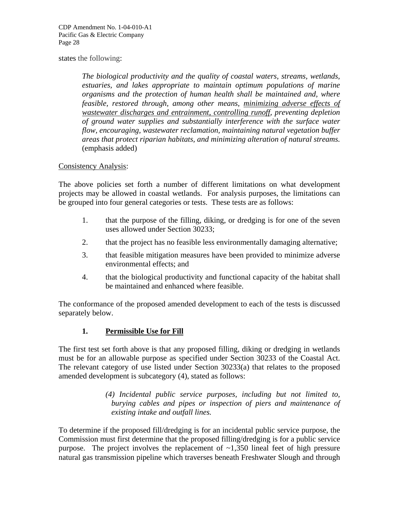#### states the following:

*The biological productivity and the quality of coastal waters, streams, wetlands, estuaries, and lakes appropriate to maintain optimum populations of marine organisms and the protection of human health shall be maintained and, where feasible, restored through, among other means, minimizing adverse effects of wastewater discharges and entrainment, controlling runoff, preventing depletion of ground water supplies and substantially interference with the surface water flow, encouraging, wastewater reclamation, maintaining natural vegetation buffer areas that protect riparian habitats, and minimizing alteration of natural streams.*  (emphasis added)

#### Consistency Analysis:

The above policies set forth a number of different limitations on what development projects may be allowed in coastal wetlands. For analysis purposes, the limitations can be grouped into four general categories or tests. These tests are as follows:

- 1. that the purpose of the filling, diking, or dredging is for one of the seven uses allowed under Section 30233;
- 2. that the project has no feasible less environmentally damaging alternative;
- 3. that feasible mitigation measures have been provided to minimize adverse environmental effects; and
- 4. that the biological productivity and functional capacity of the habitat shall be maintained and enhanced where feasible.

The conformance of the proposed amended development to each of the tests is discussed separately below.

## **1. Permissible Use for Fill**

The first test set forth above is that any proposed filling, diking or dredging in wetlands must be for an allowable purpose as specified under Section 30233 of the Coastal Act. The relevant category of use listed under Section 30233(a) that relates to the proposed amended development is subcategory (4), stated as follows:

> *(4) Incidental public service purposes, including but not limited to, burying cables and pipes or inspection of piers and maintenance of existing intake and outfall lines.*

To determine if the proposed fill/dredging is for an incidental public service purpose, the Commission must first determine that the proposed filling/dredging is for a public service purpose. The project involves the replacement of  $\sim$ 1,350 lineal feet of high pressure natural gas transmission pipeline which traverses beneath Freshwater Slough and through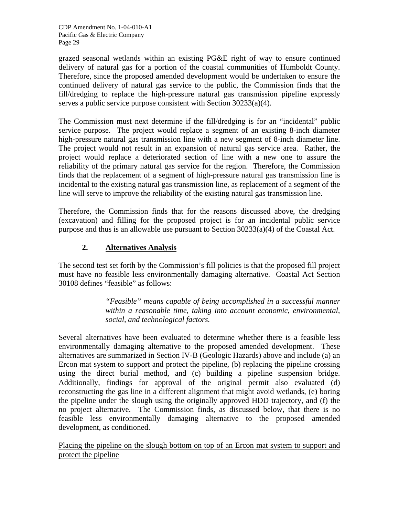grazed seasonal wetlands within an existing PG&E right of way to ensure continued delivery of natural gas for a portion of the coastal communities of Humboldt County. Therefore, since the proposed amended development would be undertaken to ensure the continued delivery of natural gas service to the public, the Commission finds that the fill/dredging to replace the high-pressure natural gas transmission pipeline expressly serves a public service purpose consistent with Section 30233(a)(4).

The Commission must next determine if the fill/dredging is for an "incidental" public service purpose. The project would replace a segment of an existing 8-inch diameter high-pressure natural gas transmission line with a new segment of 8-inch diameter line. The project would not result in an expansion of natural gas service area. Rather, the project would replace a deteriorated section of line with a new one to assure the reliability of the primary natural gas service for the region. Therefore, the Commission finds that the replacement of a segment of high-pressure natural gas transmission line is incidental to the existing natural gas transmission line, as replacement of a segment of the line will serve to improve the reliability of the existing natural gas transmission line.

Therefore, the Commission finds that for the reasons discussed above, the dredging (excavation) and filling for the proposed project is for an incidental public service purpose and thus is an allowable use pursuant to Section 30233(a)(4) of the Coastal Act.

# **2. Alternatives Analysis**

The second test set forth by the Commission's fill policies is that the proposed fill project must have no feasible less environmentally damaging alternative. Coastal Act Section 30108 defines "feasible" as follows:

> *"Feasible" means capable of being accomplished in a successful manner within a reasonable time, taking into account economic, environmental, social, and technological factors.*

Several alternatives have been evaluated to determine whether there is a feasible less environmentally damaging alternative to the proposed amended development. These alternatives are summarized in Section IV-B (Geologic Hazards) above and include (a) an Ercon mat system to support and protect the pipeline, (b) replacing the pipeline crossing using the direct burial method, and (c) building a pipeline suspension bridge. Additionally, findings for approval of the original permit also evaluated (d) reconstructing the gas line in a different alignment that might avoid wetlands, (e) boring the pipeline under the slough using the originally approved HDD trajectory, and (f) the no project alternative. The Commission finds, as discussed below, that there is no feasible less environmentally damaging alternative to the proposed amended development, as conditioned.

Placing the pipeline on the slough bottom on top of an Ercon mat system to support and protect the pipeline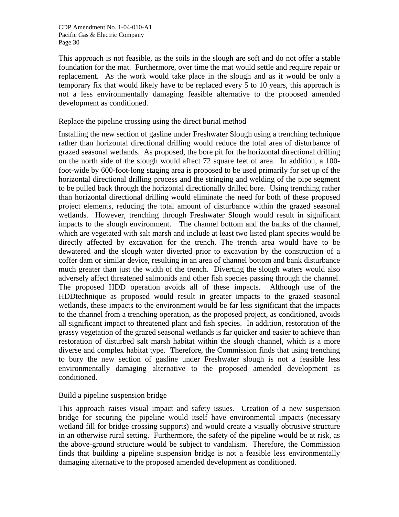This approach is not feasible, as the soils in the slough are soft and do not offer a stable foundation for the mat. Furthermore, over time the mat would settle and require repair or replacement. As the work would take place in the slough and as it would be only a temporary fix that would likely have to be replaced every 5 to 10 years, this approach is not a less environmentally damaging feasible alternative to the proposed amended development as conditioned.

## Replace the pipeline crossing using the direct burial method

Installing the new section of gasline under Freshwater Slough using a trenching technique rather than horizontal directional drilling would reduce the total area of disturbance of grazed seasonal wetlands. As proposed, the bore pit for the horizontal directional drilling on the north side of the slough would affect 72 square feet of area. In addition, a 100 foot-wide by 600-foot-long staging area is proposed to be used primarily for set up of the horizontal directional drilling process and the stringing and welding of the pipe segment to be pulled back through the horizontal directionally drilled bore. Using trenching rather than horizontal directional drilling would eliminate the need for both of these proposed project elements, reducing the total amount of disturbance within the grazed seasonal wetlands. However, trenching through Freshwater Slough would result in significant impacts to the slough environment. The channel bottom and the banks of the channel, which are vegetated with salt marsh and include at least two listed plant species would be directly affected by excavation for the trench. The trench area would have to be dewatered and the slough water diverted prior to excavation by the construction of a coffer dam or similar device, resulting in an area of channel bottom and bank disturbance much greater than just the width of the trench. Diverting the slough waters would also adversely affect threatened salmonids and other fish species passing through the channel. The proposed HDD operation avoids all of these impacts. Although use of the HDDtechnique as proposed would result in greater impacts to the grazed seasonal wetlands, these impacts to the environment would be far less significant that the impacts to the channel from a trenching operation, as the proposed project, as conditioned, avoids all significant impact to threatened plant and fish species. In addition, restoration of the grassy vegetation of the grazed seasonal wetlands is far quicker and easier to achieve than restoration of disturbed salt marsh habitat within the slough channel, which is a more diverse and complex habitat type. Therefore, the Commission finds that using trenching to bury the new section of gasline under Freshwater slough is not a feasible less environmentally damaging alternative to the proposed amended development as conditioned.

## Build a pipeline suspension bridge

This approach raises visual impact and safety issues. Creation of a new suspension bridge for securing the pipeline would itself have environmental impacts (necessary wetland fill for bridge crossing supports) and would create a visually obtrusive structure in an otherwise rural setting. Furthermore, the safety of the pipeline would be at risk, as the above-ground structure would be subject to vandalism. Therefore, the Commission finds that building a pipeline suspension bridge is not a feasible less environmentally damaging alternative to the proposed amended development as conditioned.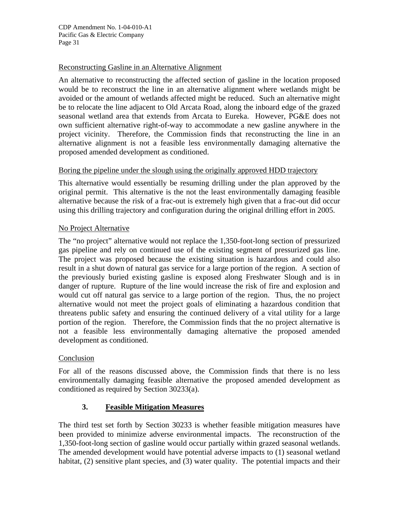## Reconstructing Gasline in an Alternative Alignment

An alternative to reconstructing the affected section of gasline in the location proposed would be to reconstruct the line in an alternative alignment where wetlands might be avoided or the amount of wetlands affected might be reduced. Such an alternative might be to relocate the line adjacent to Old Arcata Road, along the inboard edge of the grazed seasonal wetland area that extends from Arcata to Eureka. However, PG&E does not own sufficient alternative right-of-way to accommodate a new gasline anywhere in the project vicinity. Therefore, the Commission finds that reconstructing the line in an alternative alignment is not a feasible less environmentally damaging alternative the proposed amended development as conditioned.

## Boring the pipeline under the slough using the originally approved HDD trajectory

This alternative would essentially be resuming drilling under the plan approved by the original permit. This alternative is the not the least environmentally damaging feasible alternative because the risk of a frac-out is extremely high given that a frac-out did occur using this drilling trajectory and configuration during the original drilling effort in 2005.

## No Project Alternative

The "no project" alternative would not replace the 1,350-foot-long section of pressurized gas pipeline and rely on continued use of the existing segment of pressurized gas line. The project was proposed because the existing situation is hazardous and could also result in a shut down of natural gas service for a large portion of the region. A section of the previously buried existing gasline is exposed along Freshwater Slough and is in danger of rupture. Rupture of the line would increase the risk of fire and explosion and would cut off natural gas service to a large portion of the region. Thus, the no project alternative would not meet the project goals of eliminating a hazardous condition that threatens public safety and ensuring the continued delivery of a vital utility for a large portion of the region. Therefore, the Commission finds that the no project alternative is not a feasible less environmentally damaging alternative the proposed amended development as conditioned.

#### Conclusion

For all of the reasons discussed above, the Commission finds that there is no less environmentally damaging feasible alternative the proposed amended development as conditioned as required by Section 30233(a).

## **3. Feasible Mitigation Measures**

The third test set forth by Section 30233 is whether feasible mitigation measures have been provided to minimize adverse environmental impacts. The reconstruction of the 1,350-foot-long section of gasline would occur partially within grazed seasonal wetlands. The amended development would have potential adverse impacts to (1) seasonal wetland habitat, (2) sensitive plant species, and (3) water quality. The potential impacts and their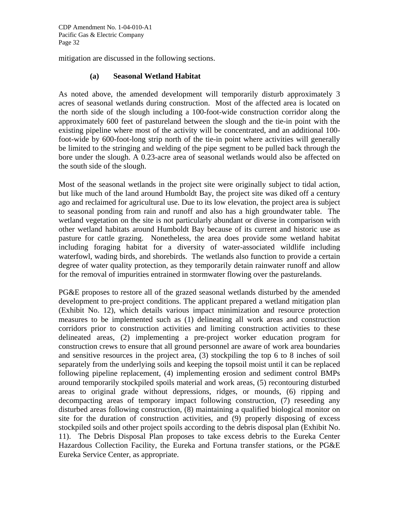mitigation are discussed in the following sections.

#### **(a) Seasonal Wetland Habitat**

As noted above, the amended development will temporarily disturb approximately 3 acres of seasonal wetlands during construction. Most of the affected area is located on the north side of the slough including a 100-foot-wide construction corridor along the approximately 600 feet of pastureland between the slough and the tie-in point with the existing pipeline where most of the activity will be concentrated, and an additional 100 foot-wide by 600-foot-long strip north of the tie-in point where activities will generally be limited to the stringing and welding of the pipe segment to be pulled back through the bore under the slough. A 0.23-acre area of seasonal wetlands would also be affected on the south side of the slough.

Most of the seasonal wetlands in the project site were originally subject to tidal action, but like much of the land around Humboldt Bay, the project site was diked off a century ago and reclaimed for agricultural use. Due to its low elevation, the project area is subject to seasonal ponding from rain and runoff and also has a high groundwater table. The wetland vegetation on the site is not particularly abundant or diverse in comparison with other wetland habitats around Humboldt Bay because of its current and historic use as pasture for cattle grazing. Nonetheless, the area does provide some wetland habitat including foraging habitat for a diversity of water-associated wildlife including waterfowl, wading birds, and shorebirds. The wetlands also function to provide a certain degree of water quality protection, as they temporarily detain rainwater runoff and allow for the removal of impurities entrained in stormwater flowing over the pasturelands.

PG&E proposes to restore all of the grazed seasonal wetlands disturbed by the amended development to pre-project conditions. The applicant prepared a wetland mitigation plan (Exhibit No. 12), which details various impact minimization and resource protection measures to be implemented such as (1) delineating all work areas and construction corridors prior to construction activities and limiting construction activities to these delineated areas, (2) implementing a pre-project worker education program for construction crews to ensure that all ground personnel are aware of work area boundaries and sensitive resources in the project area, (3) stockpiling the top 6 to 8 inches of soil separately from the underlying soils and keeping the topsoil moist until it can be replaced following pipeline replacement, (4) implementing erosion and sediment control BMPs around temporarily stockpiled spoils material and work areas, (5) recontouring disturbed areas to original grade without depressions, ridges, or mounds, (6) ripping and decompacting areas of temporary impact following construction, (7) reseeding any disturbed areas following construction, (8) maintaining a qualified biological monitor on site for the duration of construction activities, and (9) properly disposing of excess stockpiled soils and other project spoils according to the debris disposal plan (Exhibit No. 11). The Debris Disposal Plan proposes to take excess debris to the Eureka Center Hazardous Collection Facility, the Eureka and Fortuna transfer stations, or the PG&E Eureka Service Center, as appropriate.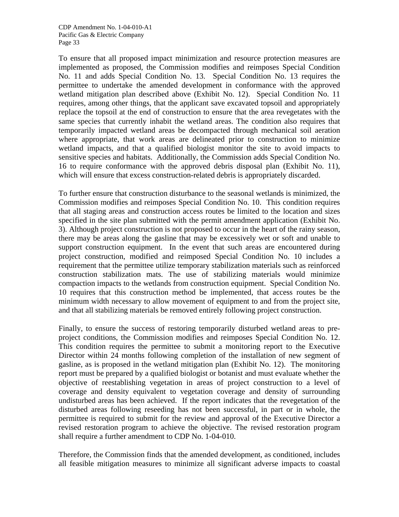To ensure that all proposed impact minimization and resource protection measures are implemented as proposed, the Commission modifies and reimposes Special Condition No. 11 and adds Special Condition No. 13. Special Condition No. 13 requires the permittee to undertake the amended development in conformance with the approved wetland mitigation plan described above (Exhibit No. 12). Special Condition No. 11 requires, among other things, that the applicant save excavated topsoil and appropriately replace the topsoil at the end of construction to ensure that the area revegetates with the same species that currently inhabit the wetland areas. The condition also requires that temporarily impacted wetland areas be decompacted through mechanical soil aeration where appropriate, that work areas are delineated prior to construction to minimize wetland impacts, and that a qualified biologist monitor the site to avoid impacts to sensitive species and habitats. Additionally, the Commission adds Special Condition No. 16 to require conformance with the approved debris disposal plan (Exhibit No. 11), which will ensure that excess construction-related debris is appropriately discarded.

To further ensure that construction disturbance to the seasonal wetlands is minimized, the Commission modifies and reimposes Special Condition No. 10. This condition requires that all staging areas and construction access routes be limited to the location and sizes specified in the site plan submitted with the permit amendment application (Exhibit No. 3). Although project construction is not proposed to occur in the heart of the rainy season, there may be areas along the gasline that may be excessively wet or soft and unable to support construction equipment. In the event that such areas are encountered during project construction, modified and reimposed Special Condition No. 10 includes a requirement that the permittee utilize temporary stabilization materials such as reinforced construction stabilization mats. The use of stabilizing materials would minimize compaction impacts to the wetlands from construction equipment. Special Condition No. 10 requires that this construction method be implemented, that access routes be the minimum width necessary to allow movement of equipment to and from the project site, and that all stabilizing materials be removed entirely following project construction.

Finally, to ensure the success of restoring temporarily disturbed wetland areas to preproject conditions, the Commission modifies and reimposes Special Condition No. 12. This condition requires the permittee to submit a monitoring report to the Executive Director within 24 months following completion of the installation of new segment of gasline, as is proposed in the wetland mitigation plan (Exhibit No. 12). The monitoring report must be prepared by a qualified biologist or botanist and must evaluate whether the objective of reestablishing vegetation in areas of project construction to a level of coverage and density equivalent to vegetation coverage and density of surrounding undisturbed areas has been achieved. If the report indicates that the revegetation of the disturbed areas following reseeding has not been successful, in part or in whole, the permittee is required to submit for the review and approval of the Executive Director a revised restoration program to achieve the objective. The revised restoration program shall require a further amendment to CDP No. 1-04-010.

Therefore, the Commission finds that the amended development, as conditioned, includes all feasible mitigation measures to minimize all significant adverse impacts to coastal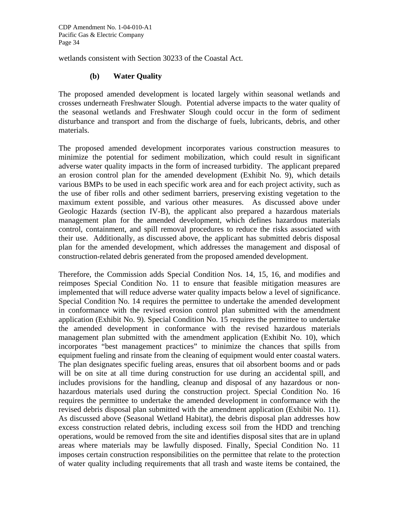wetlands consistent with Section 30233 of the Coastal Act.

#### **(b) Water Quality**

The proposed amended development is located largely within seasonal wetlands and crosses underneath Freshwater Slough. Potential adverse impacts to the water quality of the seasonal wetlands and Freshwater Slough could occur in the form of sediment disturbance and transport and from the discharge of fuels, lubricants, debris, and other materials.

The proposed amended development incorporates various construction measures to minimize the potential for sediment mobilization, which could result in significant adverse water quality impacts in the form of increased turbidity. The applicant prepared an erosion control plan for the amended development (Exhibit No. 9), which details various BMPs to be used in each specific work area and for each project activity, such as the use of fiber rolls and other sediment barriers, preserving existing vegetation to the maximum extent possible, and various other measures. As discussed above under Geologic Hazards (section IV-B), the applicant also prepared a hazardous materials management plan for the amended development, which defines hazardous materials control, containment, and spill removal procedures to reduce the risks associated with their use. Additionally, as discussed above, the applicant has submitted debris disposal plan for the amended development, which addresses the management and disposal of construction-related debris generated from the proposed amended development.

Therefore, the Commission adds Special Condition Nos. 14, 15, 16, and modifies and reimposes Special Condition No. 11 to ensure that feasible mitigation measures are implemented that will reduce adverse water quality impacts below a level of significance. Special Condition No. 14 requires the permittee to undertake the amended development in conformance with the revised erosion control plan submitted with the amendment application (Exhibit No. 9). Special Condition No. 15 requires the permittee to undertake the amended development in conformance with the revised hazardous materials management plan submitted with the amendment application (Exhibit No. 10), which incorporates "best management practices" to minimize the chances that spills from equipment fueling and rinsate from the cleaning of equipment would enter coastal waters. The plan designates specific fueling areas, ensures that oil absorbent booms and or pads will be on site at all time during construction for use during an accidental spill, and includes provisions for the handling, cleanup and disposal of any hazardous or nonhazardous materials used during the construction project. Special Condition No. 16 requires the permittee to undertake the amended development in conformance with the revised debris disposal plan submitted with the amendment application (Exhibit No. 11). As discussed above (Seasonal Wetland Habitat), the debris disposal plan addresses how excess construction related debris, including excess soil from the HDD and trenching operations, would be removed from the site and identifies disposal sites that are in upland areas where materials may be lawfully disposed. Finally, Special Condition No. 11 imposes certain construction responsibilities on the permittee that relate to the protection of water quality including requirements that all trash and waste items be contained, the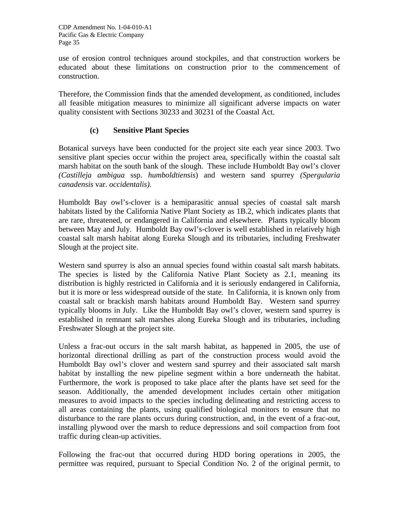use of erosion control techniques around stockpiles, and that construction workers be educated about these limitations on construction prior to the commencement of construction.

Therefore, the Commission finds that the amended development, as conditioned, includes all feasible mitigation measures to minimize all significant adverse impacts on water quality consistent with Sections 30233 and 30231 of the Coastal Act.

## **(c) Sensitive Plant Species**

Botanical surveys have been conducted for the project site each year since 2003. Two sensitive plant species occur within the project area, specifically within the coastal salt marsh habitat on the south bank of the slough. These include Humboldt Bay owl's clover *(Castilleja ambigua* ssp. *humboldtiensis*) and western sand spurrey *(Spergularia canadensis* var*. occidentalis).*

Humboldt Bay owl's-clover is a hemiparasitic annual species of coastal salt marsh habitats listed by the California Native Plant Society as 1B.2, which indicates plants that are rare, threatened, or endangered in California and elsewhere. Plants typically bloom between May and July. Humboldt Bay owl's-clover is well established in relatively high coastal salt marsh habitat along Eureka Slough and its tributaries, including Freshwater Slough at the project site.

Western sand spurrey is also an annual species found within coastal salt marsh habitats. The species is listed by the California Native Plant Society as 2.1, meaning its distribution is highly restricted in California and it is seriously endangered in California, but it is more or less widespread outside of the state. In California, it is known only from coastal salt or brackish marsh habitats around Humboldt Bay. Western sand spurrey typically blooms in July. Like the Humboldt Bay owl's clover, western sand spurrey is established in remnant salt marshes along Eureka Slough and its tributaries, including Freshwater Slough at the project site.

Unless a frac-out occurs in the salt marsh habitat, as happened in 2005, the use of horizontal directional drilling as part of the construction process would avoid the Humboldt Bay owl's clover and western sand spurrey and their associated salt marsh habitat by installing the new pipeline segment within a bore underneath the habitat. Furthermore, the work is proposed to take place after the plants have set seed for the season. Additionally, the amended development includes certain other mitigation measures to avoid impacts to the species including delineating and restricting access to all areas containing the plants, using qualified biological monitors to ensure that no disturbance to the rare plants occurs during construction, and, in the event of a frac-out, installing plywood over the marsh to reduce depressions and soil compaction from foot traffic during clean-up activities.

Following the frac-out that occurred during HDD boring operations in 2005, the permittee was required, pursuant to Special Condition No. 2 of the original permit, to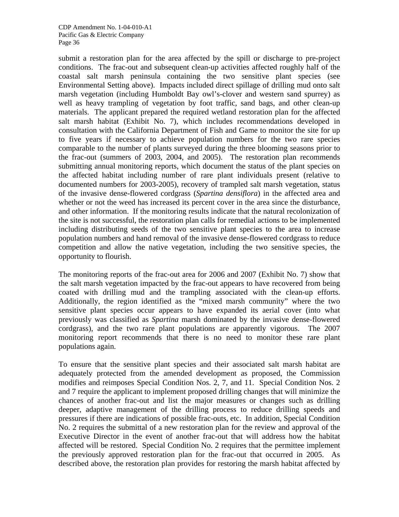submit a restoration plan for the area affected by the spill or discharge to pre-project conditions. The frac-out and subsequent clean-up activities affected roughly half of the coastal salt marsh peninsula containing the two sensitive plant species (see Environmental Setting above). Impacts included direct spillage of drilling mud onto salt marsh vegetation (including Humboldt Bay owl's-clover and western sand spurrey) as well as heavy trampling of vegetation by foot traffic, sand bags, and other clean-up materials. The applicant prepared the required wetland restoration plan for the affected salt marsh habitat (Exhibit No. 7), which includes recommendations developed in consultation with the California Department of Fish and Game to monitor the site for up to five years if necessary to achieve population numbers for the two rare species comparable to the number of plants surveyed during the three blooming seasons prior to the frac-out (summers of 2003, 2004, and 2005). The restoration plan recommends submitting annual monitoring reports, which document the status of the plant species on the affected habitat including number of rare plant individuals present (relative to documented numbers for 2003-2005), recovery of trampled salt marsh vegetation, status of the invasive dense-flowered cordgrass (*Spartina densiflora*) in the affected area and whether or not the weed has increased its percent cover in the area since the disturbance, and other information. If the monitoring results indicate that the natural recolonization of the site is not successful, the restoration plan calls for remedial actions to be implemented including distributing seeds of the two sensitive plant species to the area to increase population numbers and hand removal of the invasive dense-flowered cordgrass to reduce competition and allow the native vegetation, including the two sensitive species, the opportunity to flourish.

The monitoring reports of the frac-out area for 2006 and 2007 (Exhibit No. 7) show that the salt marsh vegetation impacted by the frac-out appears to have recovered from being coated with drilling mud and the trampling associated with the clean-up efforts. Additionally, the region identified as the "mixed marsh community" where the two sensitive plant species occur appears to have expanded its aerial cover (into what previously was classified as *Spartina* marsh dominated by the invasive dense-flowered cordgrass), and the two rare plant populations are apparently vigorous. The 2007 monitoring report recommends that there is no need to monitor these rare plant populations again.

To ensure that the sensitive plant species and their associated salt marsh habitat are adequately protected from the amended development as proposed, the Commission modifies and reimposes Special Condition Nos. 2, 7, and 11. Special Condition Nos. 2 and 7 require the applicant to implement proposed drilling changes that will minimize the chances of another frac-out and list the major measures or changes such as drilling deeper, adaptive management of the drilling process to reduce drilling speeds and pressures if there are indications of possible frac-outs, etc. In addition, Special Condition No. 2 requires the submittal of a new restoration plan for the review and approval of the Executive Director in the event of another frac-out that will address how the habitat affected will be restored. Special Condition No. 2 requires that the permittee implement the previously approved restoration plan for the frac-out that occurred in 2005. As described above, the restoration plan provides for restoring the marsh habitat affected by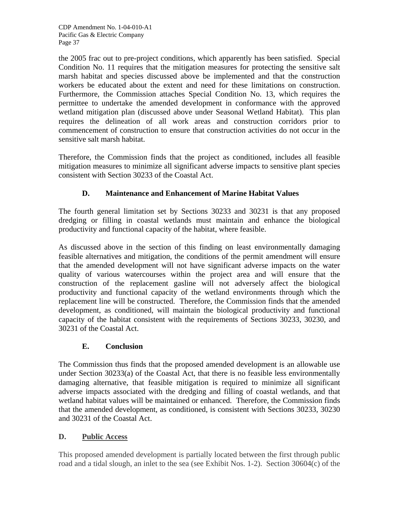the 2005 frac out to pre-project conditions, which apparently has been satisfied. Special Condition No. 11 requires that the mitigation measures for protecting the sensitive salt marsh habitat and species discussed above be implemented and that the construction workers be educated about the extent and need for these limitations on construction. Furthermore, the Commission attaches Special Condition No. 13, which requires the permittee to undertake the amended development in conformance with the approved wetland mitigation plan (discussed above under Seasonal Wetland Habitat). This plan requires the delineation of all work areas and construction corridors prior to commencement of construction to ensure that construction activities do not occur in the sensitive salt marsh habitat.

Therefore, the Commission finds that the project as conditioned, includes all feasible mitigation measures to minimize all significant adverse impacts to sensitive plant species consistent with Section 30233 of the Coastal Act.

# **D. Maintenance and Enhancement of Marine Habitat Values**

The fourth general limitation set by Sections 30233 and 30231 is that any proposed dredging or filling in coastal wetlands must maintain and enhance the biological productivity and functional capacity of the habitat, where feasible.

As discussed above in the section of this finding on least environmentally damaging feasible alternatives and mitigation, the conditions of the permit amendment will ensure that the amended development will not have significant adverse impacts on the water quality of various watercourses within the project area and will ensure that the construction of the replacement gasline will not adversely affect the biological productivity and functional capacity of the wetland environments through which the replacement line will be constructed. Therefore, the Commission finds that the amended development, as conditioned, will maintain the biological productivity and functional capacity of the habitat consistent with the requirements of Sections 30233, 30230, and 30231 of the Coastal Act.

## **E. Conclusion**

The Commission thus finds that the proposed amended development is an allowable use under Section 30233(a) of the Coastal Act, that there is no feasible less environmentally damaging alternative, that feasible mitigation is required to minimize all significant adverse impacts associated with the dredging and filling of coastal wetlands, and that wetland habitat values will be maintained or enhanced. Therefore, the Commission finds that the amended development, as conditioned, is consistent with Sections 30233, 30230 and 30231 of the Coastal Act.

## **D. Public Access**

This proposed amended development is partially located between the first through public road and a tidal slough, an inlet to the sea (see Exhibit Nos. 1-2). Section 30604(c) of the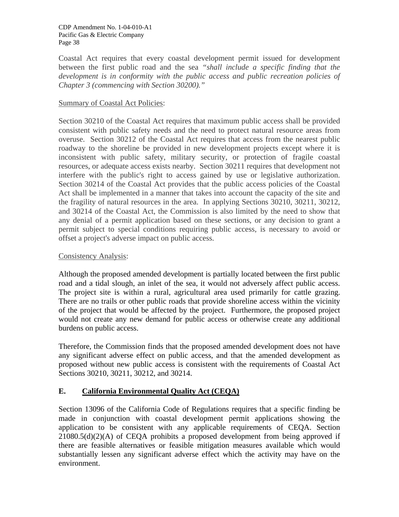Coastal Act requires that every coastal development permit issued for development between the first public road and the sea *"shall include a specific finding that the development is in conformity with the public access and public recreation policies of Chapter 3 (commencing with Section 30200)."*

## Summary of Coastal Act Policies:

Section 30210 of the Coastal Act requires that maximum public access shall be provided consistent with public safety needs and the need to protect natural resource areas from overuse. Section 30212 of the Coastal Act requires that access from the nearest public roadway to the shoreline be provided in new development projects except where it is inconsistent with public safety, military security, or protection of fragile coastal resources, or adequate access exists nearby. Section 30211 requires that development not interfere with the public's right to access gained by use or legislative authorization. Section 30214 of the Coastal Act provides that the public access policies of the Coastal Act shall be implemented in a manner that takes into account the capacity of the site and the fragility of natural resources in the area. In applying Sections 30210, 30211, 30212, and 30214 of the Coastal Act, the Commission is also limited by the need to show that any denial of a permit application based on these sections, or any decision to grant a permit subject to special conditions requiring public access, is necessary to avoid or offset a project's adverse impact on public access.

#### Consistency Analysis:

Although the proposed amended development is partially located between the first public road and a tidal slough, an inlet of the sea, it would not adversely affect public access. The project site is within a rural, agricultural area used primarily for cattle grazing. There are no trails or other public roads that provide shoreline access within the vicinity of the project that would be affected by the project. Furthermore, the proposed project would not create any new demand for public access or otherwise create any additional burdens on public access.

Therefore, the Commission finds that the proposed amended development does not have any significant adverse effect on public access, and that the amended development as proposed without new public access is consistent with the requirements of Coastal Act Sections 30210, 30211, 30212, and 30214.

## **E. California Environmental Quality Act (CEQA)**

Section 13096 of the California Code of Regulations requires that a specific finding be made in conjunction with coastal development permit applications showing the application to be consistent with any applicable requirements of CEQA. Section  $21080.5(d)(2)(A)$  of CEQA prohibits a proposed development from being approved if there are feasible alternatives or feasible mitigation measures available which would substantially lessen any significant adverse effect which the activity may have on the environment.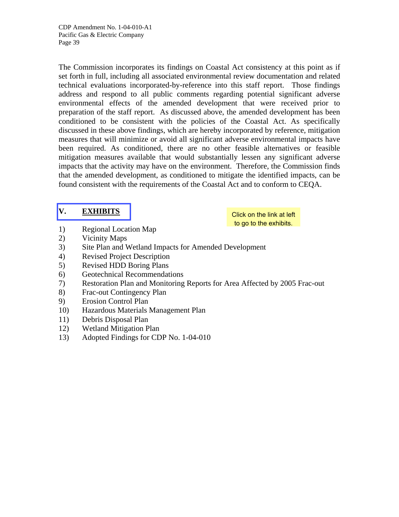The Commission incorporates its findings on Coastal Act consistency at this point as if set forth in full, including all associated environmental review documentation and related technical evaluations incorporated-by-reference into this staff report. Those findings address and respond to all public comments regarding potential significant adverse environmental effects of the amended development that were received prior to preparation of the staff report. As discussed above, the amended development has been conditioned to be consistent with the policies of the Coastal Act. As specifically discussed in these above findings, which are hereby incorporated by reference, mitigation measures that will minimize or avoid all significant adverse environmental impacts have been required. As conditioned, there are no other feasible alternatives or feasible mitigation measures available that would substantially lessen any significant adverse impacts that the activity may have on the environment. Therefore, the Commission finds that the amended development, as conditioned to mitigate the identified impacts, can be found consistent with the requirements of the Coastal Act and to conform to CEQA.

# **[V. EXHIBITS](http://documents.coastal.ca.gov/reports/2008/7/F10a-7-2008-a1.pdf)**

Click on the link at left to go to the exhibits.

- 1) Regional Location Map
- 2) Vicinity Maps
- 3) Site Plan and Wetland Impacts for Amended Development
- 4) Revised Project Description
- 5) Revised HDD Boring Plans
- 6) Geotechnical Recommendations
- 7) Restoration Plan and Monitoring Reports for Area Affected by 2005 Frac-out
- 8) Frac-out Contingency Plan
- 9) Erosion Control Plan
- 10) Hazardous Materials Management Plan
- 11) Debris Disposal Plan
- 12) Wetland Mitigation Plan
- 13) Adopted Findings for CDP No. 1-04-010